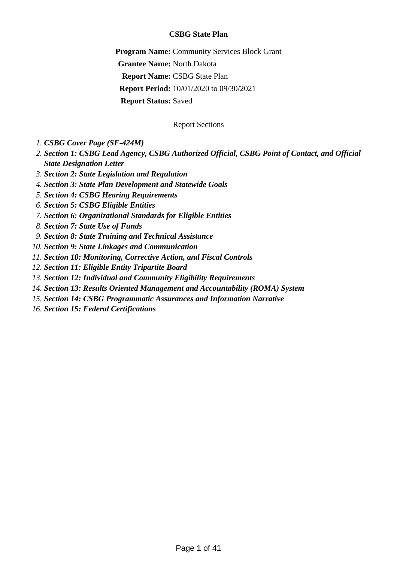## **CSBG State Plan**

**Program Name:** Community Services Block Grant **Grantee Name:** North Dakota **Report Name:** CSBG State Plan **Report Period:** 10/01/2020 to 09/30/2021 **Report Status:** Saved

### Report Sections

- *1. [CSBG Cover Page \(SF-424M\)](#page-1-0)*
- *[Section 1: CSBG Lead Agency, CSBG Authorized Official, CSBG Point of Contact, and Official](#page-3-0) 2. [State Designation Letter](#page-3-0)*
- *3. [Section 2: State Legislation and Regulation](#page-5-0)*
- *4. [Section 3: State Plan Development and Statewide Goals](#page-6-0)*
- *5. [Section 4: CSBG Hearing Requirements](#page-8-0)*
- *6. [Section 5: CSBG Eligible Entities](#page-9-0)*
- *7. [Section 6: Organizational Standards for Eligible Entities](#page-11-0)*
- *8. [Section 7: State Use of Funds](#page-13-0)*
- *9. [Section 8: State Training and Technical Assistance](#page-17-0)*
- *10. [Section 9: State Linkages and Communication](#page-19-0)*
- *11. [Section 10: Monitoring, Corrective Action, and Fiscal Controls](#page-22-0)*
- *12. [Section 11: Eligible Entity Tripartite Board](#page-25-0)*
- *13. [Section 12: Individual and Community Eligibility Requirements](#page-26-0)*
- *14. [Section 13: Results Oriented Management and Accountability \(ROMA\) System](#page-27-0)*
- *15. [Section 14: CSBG Programmatic Assurances and Information Narrative](#page-29-0)*
- *16. [Section 15: Federal Certifications](#page-33-0)*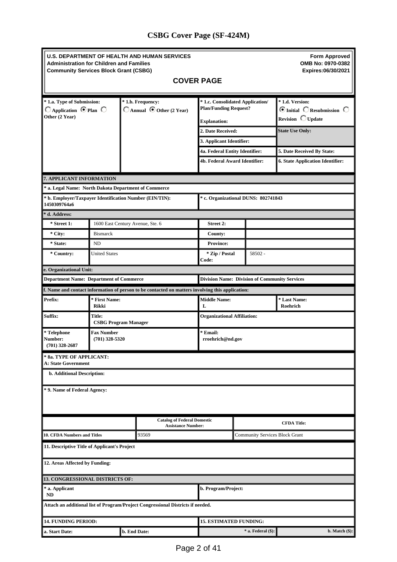# <span id="page-1-0"></span>**CSBG Cover Page (SF-424M)**

| Administration for Children and Families<br><b>Community Services Block Grant (CSBG)</b> |                                       |              | <b>U.S. DEPARTMENT OF HEALTH AND HUMAN SERVICES</b><br><b>COVER PAGE</b>                         |                                                                                         |  |                         | <b>Form Approved</b><br>OMB No: 0970-0382<br>Expires:06/30/2021        |  |
|------------------------------------------------------------------------------------------|---------------------------------------|--------------|--------------------------------------------------------------------------------------------------|-----------------------------------------------------------------------------------------|--|-------------------------|------------------------------------------------------------------------|--|
| * 1.a. Type of Submission:<br>$\Box$ Application $\Theta$ Plan $\Box$<br>Other (2 Year)  |                                       |              | * 1.b. Frequency:<br>$\Box$ Annual $\Theta$ Other (2 Year)                                       | * 1.c. Consolidated Application/<br><b>Plan/Funding Request?</b><br><b>Explanation:</b> |  |                         | * 1.d. Version:<br><b>⊙</b> Initial ○Resubmission ○<br>Revision Update |  |
|                                                                                          |                                       |              |                                                                                                  | 2. Date Received:<br>3. Applicant Identifier:                                           |  |                         | <b>State Use Only:</b>                                                 |  |
|                                                                                          |                                       |              |                                                                                                  | 4a. Federal Entity Identifier:                                                          |  |                         | 5. Date Received By State:                                             |  |
|                                                                                          |                                       |              |                                                                                                  | 4b. Federal Award Identifier:                                                           |  |                         | <b>6. State Application Identifier:</b>                                |  |
| 7. APPLICANT INFORMATION                                                                 |                                       |              |                                                                                                  |                                                                                         |  |                         |                                                                        |  |
| * a. Legal Name: North Dakota Department of Commerce                                     |                                       |              |                                                                                                  |                                                                                         |  |                         |                                                                        |  |
| * b. Employer/Taxpayer Identification Number (EIN/TIN):<br>1450309764a6                  |                                       |              |                                                                                                  | * c. Organizational DUNS: 802741843                                                     |  |                         |                                                                        |  |
| * d. Address:                                                                            |                                       |              |                                                                                                  |                                                                                         |  |                         |                                                                        |  |
| * Street 1:                                                                              | 1600 East Century Avenue, Ste. 6      |              |                                                                                                  | <b>Street 2:</b>                                                                        |  |                         |                                                                        |  |
| $*$ City:                                                                                | <b>Bismarck</b>                       |              |                                                                                                  | <b>County:</b>                                                                          |  |                         |                                                                        |  |
| * State:                                                                                 | ND                                    |              |                                                                                                  | <b>Province:</b>                                                                        |  |                         |                                                                        |  |
| * Country:                                                                               | <b>United States</b>                  |              |                                                                                                  | * Zip / Postal<br>Code:                                                                 |  | 58502 -                 |                                                                        |  |
| e. Organizational Unit:                                                                  |                                       |              |                                                                                                  |                                                                                         |  |                         |                                                                        |  |
| <b>Department Name: Department of Commerce</b>                                           |                                       |              |                                                                                                  | <b>Division Name: Division of Community Services</b>                                    |  |                         |                                                                        |  |
|                                                                                          |                                       |              | f. Name and contact information of person to be contacted on matters involving this application: |                                                                                         |  |                         |                                                                        |  |
| Prefix:                                                                                  | * First Name:<br>Rikki                |              |                                                                                                  | <b>Middle Name:</b><br>L                                                                |  |                         | * Last Name:<br>Roehrich                                               |  |
| Suffix:                                                                                  | Title:<br><b>CSBG Program Manager</b> |              |                                                                                                  | <b>Organizational Affiliation:</b>                                                      |  |                         |                                                                        |  |
| * Telephone<br>Number:<br>$(701)$ 328-2687                                               | <b>Fax Number</b><br>$(701)$ 328-5320 |              |                                                                                                  | * Email:<br>rroehrich@nd.gov                                                            |  |                         |                                                                        |  |
| * 8a. TYPE OF APPLICANT:<br><b>A: State Government</b>                                   |                                       |              |                                                                                                  |                                                                                         |  |                         |                                                                        |  |
| b. Additional Description:                                                               |                                       |              |                                                                                                  |                                                                                         |  |                         |                                                                        |  |
| * 9. Name of Federal Agency:                                                             |                                       |              |                                                                                                  |                                                                                         |  |                         |                                                                        |  |
|                                                                                          |                                       |              | <b>Catalog of Federal Domestic</b><br><b>Assistance Number:</b>                                  | <b>CFDA Title:</b>                                                                      |  |                         |                                                                        |  |
| 10. CFDA Numbers and Titles                                                              |                                       |              | 93569                                                                                            | <b>Community Services Block Grant</b>                                                   |  |                         |                                                                        |  |
| 11. Descriptive Title of Applicant's Project                                             |                                       |              |                                                                                                  |                                                                                         |  |                         |                                                                        |  |
| 12. Areas Affected by Funding:                                                           |                                       |              |                                                                                                  |                                                                                         |  |                         |                                                                        |  |
| 13. CONGRESSIONAL DISTRICTS OF:                                                          |                                       |              |                                                                                                  |                                                                                         |  |                         |                                                                        |  |
| * a. Applicant<br>ND                                                                     |                                       |              |                                                                                                  | b. Program/Project:                                                                     |  |                         |                                                                        |  |
|                                                                                          |                                       |              | Attach an additional list of Program/Project Congressional Districts if needed.                  |                                                                                         |  |                         |                                                                        |  |
| <b>14. FUNDING PERIOD:</b>                                                               |                                       |              |                                                                                                  | <b>15. ESTIMATED FUNDING:</b>                                                           |  |                         |                                                                        |  |
| a. Start Date:                                                                           |                                       | b. End Date: |                                                                                                  |                                                                                         |  | $*$ a. Federal $(\$)$ : | b. Match (\$):                                                         |  |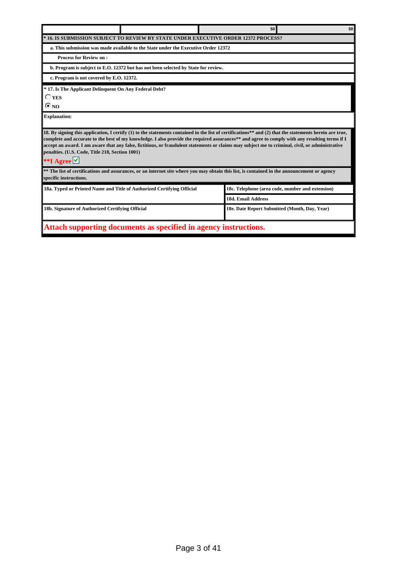|                                                                                                                                                                                                                                                                                                                                                                                                                                                                                                                                    | \$0<br>\$0                                       |  |  |  |  |  |  |
|------------------------------------------------------------------------------------------------------------------------------------------------------------------------------------------------------------------------------------------------------------------------------------------------------------------------------------------------------------------------------------------------------------------------------------------------------------------------------------------------------------------------------------|--------------------------------------------------|--|--|--|--|--|--|
| <b>IVE ORDER 12372 PROCESS?</b><br>* 16. IS SUBMISSION SUBJECT<br>' TO REVIEW BY STATE UNDER EXECUT                                                                                                                                                                                                                                                                                                                                                                                                                                |                                                  |  |  |  |  |  |  |
| a. This submission was made available to the State under the Executive Order 12372                                                                                                                                                                                                                                                                                                                                                                                                                                                 |                                                  |  |  |  |  |  |  |
| <b>Process for Review on:</b>                                                                                                                                                                                                                                                                                                                                                                                                                                                                                                      |                                                  |  |  |  |  |  |  |
| b. Program is subject to E.O. 12372 but has not been selected by State for review.                                                                                                                                                                                                                                                                                                                                                                                                                                                 |                                                  |  |  |  |  |  |  |
| c. Program is not covered by E.O. 12372.                                                                                                                                                                                                                                                                                                                                                                                                                                                                                           |                                                  |  |  |  |  |  |  |
| * 17. Is The Applicant Delinquent On Any Federal Debt?<br>$\Box$ yes<br>® no                                                                                                                                                                                                                                                                                                                                                                                                                                                       |                                                  |  |  |  |  |  |  |
| <b>Explanation:</b>                                                                                                                                                                                                                                                                                                                                                                                                                                                                                                                |                                                  |  |  |  |  |  |  |
| 18. By signing this application, I certify (1) to the statements contained in the list of certifications** and (2) that the statements herein are true,<br>complete and accurate to the best of my knowledge. I also provide the required assurances** and agree to comply with any resulting terms if I<br>accept an award. I am aware that any false, fictitious, or fraudulent statements or claims may subject me to criminal, civil, or administrative<br>penalties. (U.S. Code, Title 218, Section 1001)<br>**I Agree $\vee$ |                                                  |  |  |  |  |  |  |
| ** The list of certifications and assurances, or an internet site where you may obtain this list, is contained in the announcement or agency<br>specific instructions.                                                                                                                                                                                                                                                                                                                                                             |                                                  |  |  |  |  |  |  |
| 18a. Typed or Printed Name and Title of Authorized Certifying Official                                                                                                                                                                                                                                                                                                                                                                                                                                                             | 18c. Telephone (area code, number and extension) |  |  |  |  |  |  |
|                                                                                                                                                                                                                                                                                                                                                                                                                                                                                                                                    | <b>18d. Email Address</b>                        |  |  |  |  |  |  |
| 18b. Signature of Authorized Certifying Official                                                                                                                                                                                                                                                                                                                                                                                                                                                                                   | 18e. Date Report Submitted (Month, Day, Year)    |  |  |  |  |  |  |
| Attach supporting documents as specified in agency instructions.                                                                                                                                                                                                                                                                                                                                                                                                                                                                   |                                                  |  |  |  |  |  |  |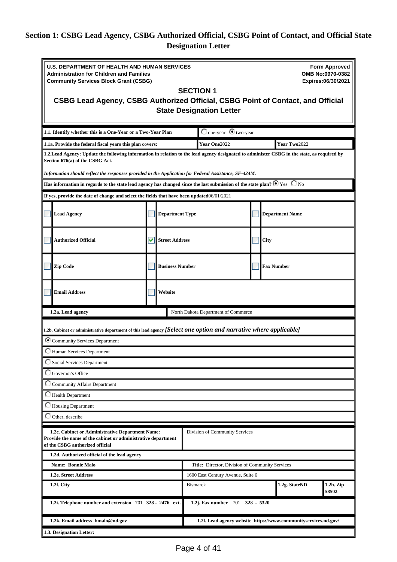# <span id="page-3-0"></span>**Section 1: CSBG Lead Agency, CSBG Authorized Official, CSBG Point of Contact, and Official State Designation Letter**

| <b>U.S. DEPARTMENT OF HEALTH AND HUMAN SERVICES</b><br><b>Form Approved</b><br>OMB No:0970-0382<br><b>Administration for Children and Families</b><br><b>Community Services Block Grant (CSBG)</b><br>Expires:06/30/2021<br><b>SECTION 1</b><br>CSBG Lead Agency, CSBG Authorized Official, CSBG Point of Contact, and Official<br><b>State Designation Letter</b> |  |                               |                                                 |  |                                                                 |       |
|--------------------------------------------------------------------------------------------------------------------------------------------------------------------------------------------------------------------------------------------------------------------------------------------------------------------------------------------------------------------|--|-------------------------------|-------------------------------------------------|--|-----------------------------------------------------------------|-------|
| 1.1. Identify whether this is a One-Year or a Two-Year Plan                                                                                                                                                                                                                                                                                                        |  |                               | $\bigcirc$ one-year $\bigcirc$ two-year         |  |                                                                 |       |
| 1.1a. Provide the federal fiscal years this plan covers:                                                                                                                                                                                                                                                                                                           |  |                               | Year One2022                                    |  | Year Two2022                                                    |       |
| 1.2. Lead Agency: Update the following information in relation to the lead agency designated to administer CSBG in the state, as required by<br>Section 676(a) of the CSBG Act.                                                                                                                                                                                    |  |                               |                                                 |  |                                                                 |       |
| Information should reflect the responses provided in the Application for Federal Assistance, SF-424M.                                                                                                                                                                                                                                                              |  |                               |                                                 |  |                                                                 |       |
| Has information in regards to the state lead agency has changed since the last submission of the state plan? $\bullet$ Yes $\circ$ No                                                                                                                                                                                                                              |  |                               |                                                 |  |                                                                 |       |
| If yes, provide the date of change and select the fields that have been updated06/01/2021                                                                                                                                                                                                                                                                          |  |                               |                                                 |  |                                                                 |       |
| <b>Lead Agency</b>                                                                                                                                                                                                                                                                                                                                                 |  | <b>Department Type</b>        |                                                 |  | <b>Department Name</b>                                          |       |
| <b>Authorized Official</b>                                                                                                                                                                                                                                                                                                                                         |  | Street Address<br><b>City</b> |                                                 |  |                                                                 |       |
| Zip Code                                                                                                                                                                                                                                                                                                                                                           |  | <b>Business Number</b>        |                                                 |  | <b>Fax Number</b>                                               |       |
| <b>Email Address</b>                                                                                                                                                                                                                                                                                                                                               |  | Website                       |                                                 |  |                                                                 |       |
| 1.2a. Lead agency                                                                                                                                                                                                                                                                                                                                                  |  |                               | North Dakota Department of Commerce             |  |                                                                 |       |
| 1.2b. Cabinet or administrative department of this lead agency <i>[Select one option and narrative where applicable]</i><br>C Community Services Department<br>Human Services Department<br>Social Services Department                                                                                                                                             |  |                               |                                                 |  |                                                                 |       |
| Governor's Office                                                                                                                                                                                                                                                                                                                                                  |  |                               |                                                 |  |                                                                 |       |
| C Community Affairs Department                                                                                                                                                                                                                                                                                                                                     |  |                               |                                                 |  |                                                                 |       |
| Health Department                                                                                                                                                                                                                                                                                                                                                  |  |                               |                                                 |  |                                                                 |       |
| Housing Department                                                                                                                                                                                                                                                                                                                                                 |  |                               |                                                 |  |                                                                 |       |
| Other, describe                                                                                                                                                                                                                                                                                                                                                    |  |                               |                                                 |  |                                                                 |       |
| 1.2c. Cabinet or Administrative Department Name:<br>Provide the name of the cabinet or administrative department<br>of the CSBG authorized official                                                                                                                                                                                                                |  |                               | Division of Community Services                  |  |                                                                 |       |
| 1.2d. Authorized official of the lead agency                                                                                                                                                                                                                                                                                                                       |  |                               |                                                 |  |                                                                 |       |
| <b>Name: Bonnie Malo</b>                                                                                                                                                                                                                                                                                                                                           |  |                               | Title: Director, Division of Community Services |  |                                                                 |       |
| 1.2e. Street Address<br>1600 East Century Avenue, Suite 6<br>$1.2h.$ Zip<br>1.2g. StateND                                                                                                                                                                                                                                                                          |  |                               |                                                 |  |                                                                 |       |
| 1.2f. City                                                                                                                                                                                                                                                                                                                                                         |  |                               | <b>Bismarck</b>                                 |  |                                                                 |       |
| 1.2i. Telephone number and extension 701 328 - 2476 ext.                                                                                                                                                                                                                                                                                                           |  |                               | 1.2j. Fax number 701 328 - 5320                 |  |                                                                 | 58502 |
| 1.2k. Email address bmalo@nd.gov                                                                                                                                                                                                                                                                                                                                   |  |                               |                                                 |  | 1.21. Lead agency website https://www.communityservices.nd.gov/ |       |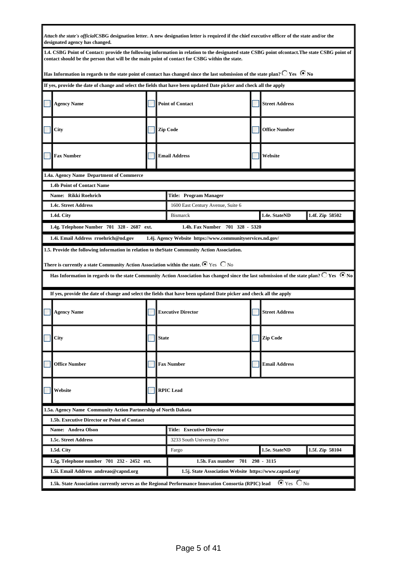| Attach the state's officialCSBG designation letter. A new designation letter is required if the chief executive officer of the state and/or the<br>designated agency has changed.                                                                                         |              |                                                            |                           |                 |
|---------------------------------------------------------------------------------------------------------------------------------------------------------------------------------------------------------------------------------------------------------------------------|--------------|------------------------------------------------------------|---------------------------|-----------------|
| 1.4. CSBG Point of Contact: provide the following information in relation to the designated state CSBG point ofcontact. The state CSBG point of<br>contact should be the person that will be the main point of contact for CSBG within the state.                         |              |                                                            |                           |                 |
| Has Information in regards to the state point of contact has changed since the last submission of the state plan? $\Box$ Yes $\ \bullet$ No                                                                                                                               |              |                                                            |                           |                 |
| If yes, provide the date of change and select the fields that have been updated Date picker and check all the apply                                                                                                                                                       |              |                                                            |                           |                 |
| <b>Agency Name</b>                                                                                                                                                                                                                                                        |              | <b>Point of Contact</b>                                    | <b>Street Address</b>     |                 |
| City                                                                                                                                                                                                                                                                      |              | <b>Zip Code</b>                                            | <b>Office Number</b>      |                 |
| <b>Fax Number</b>                                                                                                                                                                                                                                                         |              | <b>Email Address</b>                                       | Website                   |                 |
| 1.4a. Agency Name Department of Commerce                                                                                                                                                                                                                                  |              |                                                            |                           |                 |
| 1.4b Point of Contact Name                                                                                                                                                                                                                                                |              |                                                            |                           |                 |
| Name: Rikki Roehrich                                                                                                                                                                                                                                                      |              | <b>Title: Program Manager</b>                              |                           |                 |
| 1.4c. Street Address                                                                                                                                                                                                                                                      |              | 1600 East Century Avenue, Suite 6                          |                           |                 |
| 1.4d. City                                                                                                                                                                                                                                                                |              | <b>Bismarck</b>                                            | 1.4e. StateND             | 1.4f. Zip 58502 |
| 1.4g. Telephone Number 701 328 - 2687 ext.                                                                                                                                                                                                                                |              | 1.4h. Fax Number 701 328 - 5320                            |                           |                 |
| 1.4i. Email Address rroehrich@nd.gov                                                                                                                                                                                                                                      |              | 1.4j. Agency Website https://www.communityservices.nd.gov/ |                           |                 |
| There is currently a state Community Action Association within the state. $\bullet$ Yes $\ \circledcirc$ No<br>Has Information in regards to the state Community Action Association has changed since the last submission of the state plan? $\bigcirc$ Yes $\bigcirc$ No |              |                                                            |                           |                 |
| If yes, provide the date of change and select the fields that have been updated Date picker and check all the apply                                                                                                                                                       |              |                                                            |                           |                 |
| <b>Agency Name</b>                                                                                                                                                                                                                                                        |              | <b>Executive Director</b>                                  | <b>Street Address</b>     |                 |
| City                                                                                                                                                                                                                                                                      | <b>State</b> |                                                            | <b>Zip Code</b>           |                 |
| <b>Office Number</b>                                                                                                                                                                                                                                                      |              | <b>Fax Number</b>                                          | <b>Email Address</b>      |                 |
| Website                                                                                                                                                                                                                                                                   |              | <b>RPIC</b> Lead                                           |                           |                 |
| 1.5a. Agency Name Community Action Partnership of North Dakota                                                                                                                                                                                                            |              |                                                            |                           |                 |
| 1.5b. Executive Director or Point of Contact                                                                                                                                                                                                                              |              |                                                            |                           |                 |
| Name: Andrea Olson                                                                                                                                                                                                                                                        |              | <b>Title: Executive Director</b>                           |                           |                 |
| 1.5c. Street Address                                                                                                                                                                                                                                                      |              | 3233 South University Drive                                |                           |                 |
| 1.5d. City                                                                                                                                                                                                                                                                |              | Fargo                                                      | 1.5e. StateND             | 1.5f. Zip 58104 |
| 1.5g. Telephone number 701 232 - 2452 ext.                                                                                                                                                                                                                                |              | 1.5h. Fax number<br>701                                    | 298 - 3115                |                 |
| 1.5i. Email Address andreao@capnd.org                                                                                                                                                                                                                                     |              | 1.5j. State Association Website https://www.capnd.org/     |                           |                 |
| 1.5k. State Association currently serves as the Regional Performance Innovation Consortia (RPIC) lead                                                                                                                                                                     |              |                                                            | $\odot$ Yes $\bigcirc$ No |                 |

ı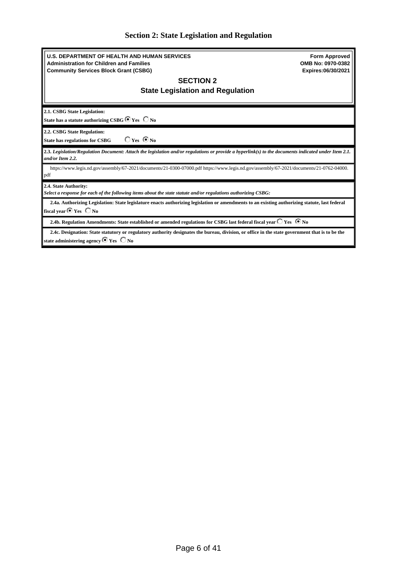<span id="page-5-0"></span>

|  | <b>Section 2: State Legislation and Regulation</b> |  |
|--|----------------------------------------------------|--|
|  |                                                    |  |

| <b>U.S. DEPARTMENT OF HEALTH AND HUMAN SERVICES</b><br><b>Administration for Children and Families</b><br><b>Community Services Block Grant (CSBG)</b>                                                 | <b>Form Approved</b><br>OMB No: 0970-0382<br>Expires:06/30/2021 |
|--------------------------------------------------------------------------------------------------------------------------------------------------------------------------------------------------------|-----------------------------------------------------------------|
| <b>SECTION 2</b>                                                                                                                                                                                       |                                                                 |
| <b>State Legislation and Regulation</b>                                                                                                                                                                |                                                                 |
|                                                                                                                                                                                                        |                                                                 |
| 2.1. CSBG State Legislation:                                                                                                                                                                           |                                                                 |
| State has a statute authorizing CSBG <sup>6</sup> Yes C No                                                                                                                                             |                                                                 |
| 2.2. CSBG State Regulation:                                                                                                                                                                            |                                                                 |
| $\bigcirc$ Yes $\bigcirc$ No<br><b>State has regulations for CSBG</b>                                                                                                                                  |                                                                 |
| 2.3. Legislation/Regulation Document: Attach the legislation and/or regulations or provide a hyperlink(s) to the documents indicated under Item 2.1.<br>and/or Item 2.2.                               |                                                                 |
| https://www.legis.nd.gov/assembly/67-2021/documents/21-0300-07000.pdf https://www.legis.nd.gov/assembly/67-2021/documents/21-0762-04000.<br>pdf                                                        |                                                                 |
| 2.4. State Authority:<br>Select a response for each of the following items about the state statute and/or regulations authorizing CSBG:                                                                |                                                                 |
| 2.4a. Authorizing Legislation: State legislature enacts authorizing legislation or amendments to an existing authorizing statute, last federal                                                         |                                                                 |
| fiscal year $\bullet$ Yes $\circ$ No                                                                                                                                                                   |                                                                 |
| 2.4b. Regulation Amendments: State established or amended regulations for CSBG last federal fiscal year $\bigcirc$ Yes $\,\circ\,$ No                                                                  |                                                                 |
| 2.4c. Designation: State statutory or regulatory authority designates the bureau, division, or office in the state government that is to be the<br>state administering agency $\bullet$ Yes $\circ$ No |                                                                 |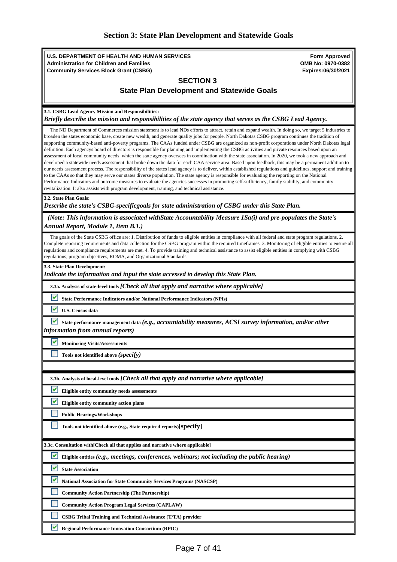# <span id="page-6-0"></span>**Section 3: State Plan Development and Statewide Goals**

| <b>U.S. DEPARTMENT OF HEALTH AND HUMAN SERVICES</b><br><b>Administration for Children and Families</b><br><b>Community Services Block Grant (CSBG)</b>                                                                                                                                                                                                                                                                                                                                                                                                                                                                                                                                                                                                                                                                                                                                                                                                                                                                                                                                                                                                                                                                                                                                                                                                                                                                                                                                              | <b>Form Approved</b><br>OMB No: 0970-0382<br>Expires:06/30/2021 |
|-----------------------------------------------------------------------------------------------------------------------------------------------------------------------------------------------------------------------------------------------------------------------------------------------------------------------------------------------------------------------------------------------------------------------------------------------------------------------------------------------------------------------------------------------------------------------------------------------------------------------------------------------------------------------------------------------------------------------------------------------------------------------------------------------------------------------------------------------------------------------------------------------------------------------------------------------------------------------------------------------------------------------------------------------------------------------------------------------------------------------------------------------------------------------------------------------------------------------------------------------------------------------------------------------------------------------------------------------------------------------------------------------------------------------------------------------------------------------------------------------------|-----------------------------------------------------------------|
| <b>SECTION 3</b><br><b>State Plan Development and Statewide Goals</b>                                                                                                                                                                                                                                                                                                                                                                                                                                                                                                                                                                                                                                                                                                                                                                                                                                                                                                                                                                                                                                                                                                                                                                                                                                                                                                                                                                                                                               |                                                                 |
| 3.1. CSBG Lead Agency Mission and Responsibilities:<br>Briefly describe the mission and responsibilities of the state agency that serves as the CSBG Lead Agency.                                                                                                                                                                                                                                                                                                                                                                                                                                                                                                                                                                                                                                                                                                                                                                                                                                                                                                                                                                                                                                                                                                                                                                                                                                                                                                                                   |                                                                 |
| The ND Department of Commerces mission statement is to lead NDs efforts to attract, retain and expand wealth. In doing so, we target 5 industries to<br>broaden the states economic base, create new wealth, and generate quality jobs for people. North Dakotas CSBG program continues the tradition of<br>supporting community-based anti-poverty programs. The CAAs funded under CSBG are organized as non-profit corporations under North Dakotas legal<br>definition. Each agencys board of directors is responsible for planning and implementing the CSBG activities and private resources based upon an<br>assessment of local community needs, which the state agency oversees in coordination with the state association. In 2020, we took a new approach and<br>developed a statewide needs assessment that broke down the data for each CAA service area. Based upon feedback, this may be a permanent addition to<br>our needs assessment process. The responsibility of the states lead agency is to deliver, within established regulations and guidelines, support and training<br>to the CAAs so that they may serve our states diverse population. The state agency is responsible for evaluating the reporting on the National<br>Performance Indicators and outcome measures to evaluate the agencies successes in promoting self-sufficiency, family stability, and community<br>revitalization. It also assists with program development, training, and technical assistance. |                                                                 |
| 3.2. State Plan Goals:<br>Describe the state's CSBG-specificgoals for state administration of CSBG under this State Plan.                                                                                                                                                                                                                                                                                                                                                                                                                                                                                                                                                                                                                                                                                                                                                                                                                                                                                                                                                                                                                                                                                                                                                                                                                                                                                                                                                                           |                                                                 |
| (Note: This information is associated with State Accountability Measure 1 Sa(i) and pre-populates the State's<br>Annual Report, Module 1, Item B.1.)                                                                                                                                                                                                                                                                                                                                                                                                                                                                                                                                                                                                                                                                                                                                                                                                                                                                                                                                                                                                                                                                                                                                                                                                                                                                                                                                                |                                                                 |
| The goals of the State CSBG office are: 1. Distribution of funds to eligible entities in compliance with all federal and state program regulations. 2.<br>Complete reporting requirements and data collection for the CSBG program within the required timeframes. 3. Monitoring of eligible entities to ensure all<br>regulations and compliance requirements are met. 4. To provide training and technical assistance to assist eligible entities in complying with CSBG<br>regulations, program objectives, ROMA, and Organizational Standards.                                                                                                                                                                                                                                                                                                                                                                                                                                                                                                                                                                                                                                                                                                                                                                                                                                                                                                                                                  |                                                                 |
| 3.3. State Plan Development:<br>Indicate the information and input the state accessed to develop this State Plan.                                                                                                                                                                                                                                                                                                                                                                                                                                                                                                                                                                                                                                                                                                                                                                                                                                                                                                                                                                                                                                                                                                                                                                                                                                                                                                                                                                                   |                                                                 |
| 3.3a. Analysis of state-level tools [Check all that apply and narrative where applicable]                                                                                                                                                                                                                                                                                                                                                                                                                                                                                                                                                                                                                                                                                                                                                                                                                                                                                                                                                                                                                                                                                                                                                                                                                                                                                                                                                                                                           |                                                                 |
| v<br><b>State Performance Indicators and/or National Performance Indicators (NPIs)</b>                                                                                                                                                                                                                                                                                                                                                                                                                                                                                                                                                                                                                                                                                                                                                                                                                                                                                                                                                                                                                                                                                                                                                                                                                                                                                                                                                                                                              |                                                                 |
| v<br><b>U.S. Census data</b>                                                                                                                                                                                                                                                                                                                                                                                                                                                                                                                                                                                                                                                                                                                                                                                                                                                                                                                                                                                                                                                                                                                                                                                                                                                                                                                                                                                                                                                                        |                                                                 |
| State performance management data (e.g., accountability measures, ACSI survey information, and/or other<br>information from annual reports)                                                                                                                                                                                                                                                                                                                                                                                                                                                                                                                                                                                                                                                                                                                                                                                                                                                                                                                                                                                                                                                                                                                                                                                                                                                                                                                                                         |                                                                 |
| <b>Monitoring Visits/Assessments</b>                                                                                                                                                                                                                                                                                                                                                                                                                                                                                                                                                                                                                                                                                                                                                                                                                                                                                                                                                                                                                                                                                                                                                                                                                                                                                                                                                                                                                                                                |                                                                 |
| Tools not identified above (specify)                                                                                                                                                                                                                                                                                                                                                                                                                                                                                                                                                                                                                                                                                                                                                                                                                                                                                                                                                                                                                                                                                                                                                                                                                                                                                                                                                                                                                                                                |                                                                 |
|                                                                                                                                                                                                                                                                                                                                                                                                                                                                                                                                                                                                                                                                                                                                                                                                                                                                                                                                                                                                                                                                                                                                                                                                                                                                                                                                                                                                                                                                                                     |                                                                 |
| 3.3b. Analysis of local-level tools [Check all that apply and narrative where applicable]                                                                                                                                                                                                                                                                                                                                                                                                                                                                                                                                                                                                                                                                                                                                                                                                                                                                                                                                                                                                                                                                                                                                                                                                                                                                                                                                                                                                           |                                                                 |
| v<br>Eligible entity community needs assessments                                                                                                                                                                                                                                                                                                                                                                                                                                                                                                                                                                                                                                                                                                                                                                                                                                                                                                                                                                                                                                                                                                                                                                                                                                                                                                                                                                                                                                                    |                                                                 |
| Eligible entity community action plans                                                                                                                                                                                                                                                                                                                                                                                                                                                                                                                                                                                                                                                                                                                                                                                                                                                                                                                                                                                                                                                                                                                                                                                                                                                                                                                                                                                                                                                              |                                                                 |
| <b>Public Hearings/Workshops</b>                                                                                                                                                                                                                                                                                                                                                                                                                                                                                                                                                                                                                                                                                                                                                                                                                                                                                                                                                                                                                                                                                                                                                                                                                                                                                                                                                                                                                                                                    |                                                                 |
| Tools not identified above (e.g., State required reports)[Specify]                                                                                                                                                                                                                                                                                                                                                                                                                                                                                                                                                                                                                                                                                                                                                                                                                                                                                                                                                                                                                                                                                                                                                                                                                                                                                                                                                                                                                                  |                                                                 |
| 3.3c. Consultation with[Check all that applies and narrative where applicable]                                                                                                                                                                                                                                                                                                                                                                                                                                                                                                                                                                                                                                                                                                                                                                                                                                                                                                                                                                                                                                                                                                                                                                                                                                                                                                                                                                                                                      |                                                                 |
| M<br>Eligible entities (e.g., meetings, conferences, webinars; not including the public hearing)                                                                                                                                                                                                                                                                                                                                                                                                                                                                                                                                                                                                                                                                                                                                                                                                                                                                                                                                                                                                                                                                                                                                                                                                                                                                                                                                                                                                    |                                                                 |
| v<br><b>State Association</b>                                                                                                                                                                                                                                                                                                                                                                                                                                                                                                                                                                                                                                                                                                                                                                                                                                                                                                                                                                                                                                                                                                                                                                                                                                                                                                                                                                                                                                                                       |                                                                 |
| v<br>National Association for State Community Services Programs (NASCSP)                                                                                                                                                                                                                                                                                                                                                                                                                                                                                                                                                                                                                                                                                                                                                                                                                                                                                                                                                                                                                                                                                                                                                                                                                                                                                                                                                                                                                            |                                                                 |
| <b>Community Action Partnership (The Partnership)</b>                                                                                                                                                                                                                                                                                                                                                                                                                                                                                                                                                                                                                                                                                                                                                                                                                                                                                                                                                                                                                                                                                                                                                                                                                                                                                                                                                                                                                                               |                                                                 |
| <b>Community Action Program Legal Services (CAPLAW)</b>                                                                                                                                                                                                                                                                                                                                                                                                                                                                                                                                                                                                                                                                                                                                                                                                                                                                                                                                                                                                                                                                                                                                                                                                                                                                                                                                                                                                                                             |                                                                 |
| CSBG Tribal Training and Technical Assistance (T/TA) provider                                                                                                                                                                                                                                                                                                                                                                                                                                                                                                                                                                                                                                                                                                                                                                                                                                                                                                                                                                                                                                                                                                                                                                                                                                                                                                                                                                                                                                       |                                                                 |
| ᢦ<br><b>Regional Performance Innovation Consortium (RPIC)</b>                                                                                                                                                                                                                                                                                                                                                                                                                                                                                                                                                                                                                                                                                                                                                                                                                                                                                                                                                                                                                                                                                                                                                                                                                                                                                                                                                                                                                                       |                                                                 |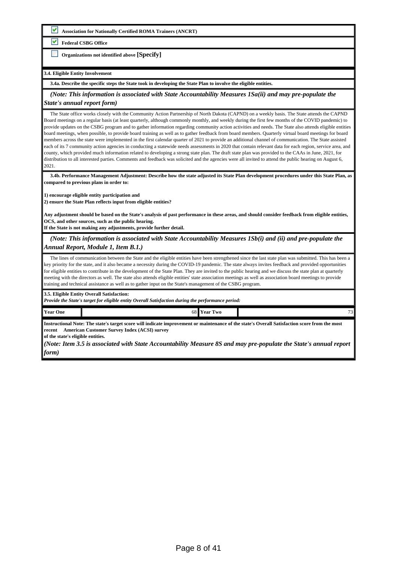**Association for Nationally Certified ROMA Trainers (ANCRT)**

**Federal CSBG Office**

**Organizations not identified above [Specify]**

#### **3.4. Eligible Entity Involvement**

**3.4a. Describe the specific steps the State took in developing the State Plan to involve the eligible entities.**

 *(Note: This information is associated with State Accountability Measures 1Sa(ii) and may pre-populate the State's annual report form)*

 The State office works closely with the Community Action Partnership of North Dakota (CAPND) on a weekly basis. The State attends the CAPND Board meetings on a regular basis (at least quarterly, although commonly monthly, and weekly during the first few months of the COVID pandemic) to provide updates on the CSBG program and to gather information regarding community action activities and needs. The State also attends eligible entities board meetings, when possible, to provide board training as well as to gather feedback from board members. Quarterly virtual board meetings for board members across the state were implemented in the first calendar quarter of 2021 to provide an additional channel of communication. The State assisted each of its 7 community action agencies in conducting a statewide needs assessments in 2020 that contain relevant data for each region, service area, and county, which provided much information related to developing a strong state plan. The draft state plan was provided to the CAAs in June, 2021, for distribution to all interested parties. Comments and feedback was solicited and the agencies were all invited to attend the public hearing on August 6, 2021.

 **3.4b. Performance Management Adjustment: Describe how the state adjusted its State Plan development procedures under this State Plan, as compared to previous plans in order to:**

**1) encourage eligible entity participation and** 

**2) ensure the State Plan reflects input from eligible entities?**

**Any adjustment should be based on the State's analysis of past performance in these areas, and should consider feedback from eligible entities, OCS, and other sources, such as the public hearing.**

**If the State is not making any adjustments, provide further detail.**

 *(Note: This information is associated with State Accountability Measures 1Sb(i) and (ii) and pre-populate the Annual Report, Module 1, Item B.1.)*

The lines of communication between the State and the eligible entities have been strengthened since the last state plan was submitted. This has been a key priority for the state, and it also became a necessity during the COVID-19 pandemic. The state always invites feedback and provided opportunities for eligible entities to contribute in the development of the State Plan. They are invited to the public hearing and we discuss the state plan at quarterly meeting with the directors as well. The state also attends eligible entities' state association meetings as well as association board meetings to provide training and technical assistance as well as to gather input on the State's management of the CSBG program.

**3.5. Eligible Entity Overall Satisfaction:** 

*Provide the State's target for eligible entity Overall Satisfaction during the performance period:*

**Year One 1** 23

**Instructional Note: The state's target score will indicate improvement or maintenance of the state's Overall Satisfaction score from the most recent [American Customer Survey Index \(ACSI\) survey](https://www.acf.hhs.gov/ocs/resource/csbg-im-150-use-of-the-american-customer-satisfaction-index-acsi-to-improve-network-effectiveness/)**

**of the state's eligible entities.** 

*(Note: Item 3.5 is associated with State Accountability Measure 8S and may pre-populate the State's annual report form)*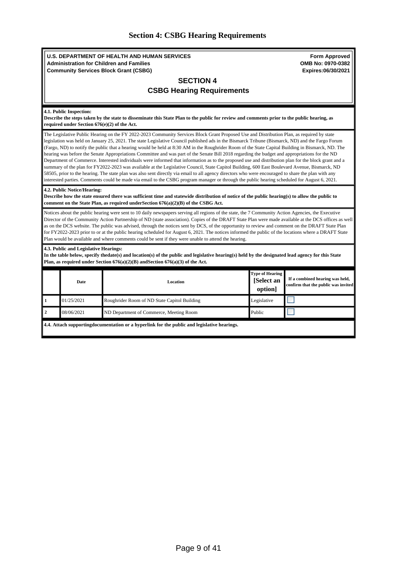<span id="page-8-0"></span>

|  |  |  | <b>Section 4: CSBG Hearing Requirements</b> |
|--|--|--|---------------------------------------------|
|--|--|--|---------------------------------------------|

| <b>U.S. DEPARTMENT OF HEALTH AND HUMAN SERVICES</b><br><b>Administration for Children and Families</b><br><b>Community Services Block Grant (CSBG)</b> | <b>Form Approved</b><br>OMB No: 0970-0382<br>Expires:06/30/2021                                                                                                                                                                                                                                                                                                                                                                                                                                                                                                                                                                                                                                                                                                                                                                                                                                                                                                                                                                                                                                                                                                                                                        |                                                 |                                                                        |  |  |  |  |
|--------------------------------------------------------------------------------------------------------------------------------------------------------|------------------------------------------------------------------------------------------------------------------------------------------------------------------------------------------------------------------------------------------------------------------------------------------------------------------------------------------------------------------------------------------------------------------------------------------------------------------------------------------------------------------------------------------------------------------------------------------------------------------------------------------------------------------------------------------------------------------------------------------------------------------------------------------------------------------------------------------------------------------------------------------------------------------------------------------------------------------------------------------------------------------------------------------------------------------------------------------------------------------------------------------------------------------------------------------------------------------------|-------------------------------------------------|------------------------------------------------------------------------|--|--|--|--|
|                                                                                                                                                        | <b>SECTION 4</b>                                                                                                                                                                                                                                                                                                                                                                                                                                                                                                                                                                                                                                                                                                                                                                                                                                                                                                                                                                                                                                                                                                                                                                                                       |                                                 |                                                                        |  |  |  |  |
|                                                                                                                                                        | <b>CSBG Hearing Requirements</b>                                                                                                                                                                                                                                                                                                                                                                                                                                                                                                                                                                                                                                                                                                                                                                                                                                                                                                                                                                                                                                                                                                                                                                                       |                                                 |                                                                        |  |  |  |  |
|                                                                                                                                                        |                                                                                                                                                                                                                                                                                                                                                                                                                                                                                                                                                                                                                                                                                                                                                                                                                                                                                                                                                                                                                                                                                                                                                                                                                        |                                                 |                                                                        |  |  |  |  |
| 4.1. Public Inspection:<br>required under Section 676(e)(2) of the Act.                                                                                | Describe the steps taken by the state to disseminate this State Plan to the public for review and comments prior to the public hearing, as                                                                                                                                                                                                                                                                                                                                                                                                                                                                                                                                                                                                                                                                                                                                                                                                                                                                                                                                                                                                                                                                             |                                                 |                                                                        |  |  |  |  |
|                                                                                                                                                        | The Legislative Public Hearing on the FY 2022-2023 Community Services Block Grant Proposed Use and Distribution Plan, as required by state<br>legislation was held on January 25, 2021. The state Legislative Council published ads in the Bismarck Tribune (Bismarck, ND) and the Fargo Forum<br>(Fargo, ND) to notify the public that a hearing would be held at 8:30 AM in the Roughrider Room of the State Capital Building in Bismarck, ND. The<br>hearing was before the Senate Appropriations Committee and was part of the Senate Bill 2018 regarding the budget and appropriations for the ND<br>Department of Commerce. Interested individuals were informed that information as to the proposed use and distribution plan for the block grant and a<br>summary of the plan for FY2022-2023 was available at the Legislative Council, State Capitol Building, 600 East Boulevard Avenue, Bismarck, ND<br>58505, prior to the hearing. The state plan was also sent directly via email to all agency directors who were encouraged to share the plan with any<br>interested parties. Comments could be made via email to the CSBG program manager or through the public hearing scheduled for August 6, 2021. |                                                 |                                                                        |  |  |  |  |
| 4.2. Public Notice/Hearing:                                                                                                                            | Describe how the state ensured there was sufficient time and statewide distribution of notice of the public hearing(s) to allow the public to<br>comment on the State Plan, as required under Section $676(a)(2)(B)$ of the CSBG Act.                                                                                                                                                                                                                                                                                                                                                                                                                                                                                                                                                                                                                                                                                                                                                                                                                                                                                                                                                                                  |                                                 |                                                                        |  |  |  |  |
|                                                                                                                                                        | Notices about the public hearing were sent to 10 daily newspapers serving all regions of the state, the 7 Community Action Agencies, the Executive<br>Director of the Community Action Partnership of ND (state association). Copies of the DRAFT State Plan were made available at the DCS offices as well<br>as on the DCS website. The public was advised, through the notices sent by DCS, of the opportunity to review and comment on the DRAFT State Plan<br>for FY2022-2023 prior to or at the public hearing scheduled for August 6, 2021. The notices informed the public of the locations where a DRAFT State<br>Plan would be available and where comments could be sent if they were unable to attend the hearing.                                                                                                                                                                                                                                                                                                                                                                                                                                                                                         |                                                 |                                                                        |  |  |  |  |
|                                                                                                                                                        | 4.3. Public and Legislative Hearings:<br>In the table below, specify thedate(s) and location(s) of the public and legislative hearing(s) held by the designated lead agency for this State<br>Plan, as required under Section $676(a)(2)(B)$ and Section $676(a)(3)$ of the Act.                                                                                                                                                                                                                                                                                                                                                                                                                                                                                                                                                                                                                                                                                                                                                                                                                                                                                                                                       |                                                 |                                                                        |  |  |  |  |
| Date                                                                                                                                                   | Location                                                                                                                                                                                                                                                                                                                                                                                                                                                                                                                                                                                                                                                                                                                                                                                                                                                                                                                                                                                                                                                                                                                                                                                                               | <b>Type of Hearing</b><br>[Select an<br>option] | If a combined hearing was held,<br>confirm that the public was invited |  |  |  |  |
| 01/25/2021<br>1                                                                                                                                        | Roughrider Room of ND State Capitol Building                                                                                                                                                                                                                                                                                                                                                                                                                                                                                                                                                                                                                                                                                                                                                                                                                                                                                                                                                                                                                                                                                                                                                                           | Legislative                                     |                                                                        |  |  |  |  |
| $\overline{2}$<br>08/06/2021                                                                                                                           | ND Department of Commerce, Meeting Room                                                                                                                                                                                                                                                                                                                                                                                                                                                                                                                                                                                                                                                                                                                                                                                                                                                                                                                                                                                                                                                                                                                                                                                | Public                                          |                                                                        |  |  |  |  |
| 4.4. Attach supportingdocumentation or a hyperlink for the public and legislative hearings.                                                            |                                                                                                                                                                                                                                                                                                                                                                                                                                                                                                                                                                                                                                                                                                                                                                                                                                                                                                                                                                                                                                                                                                                                                                                                                        |                                                 |                                                                        |  |  |  |  |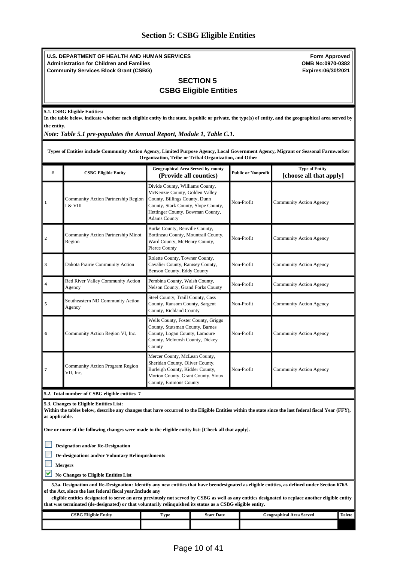# <span id="page-9-0"></span>**Section 5: CSBG Eligible Entities**

|                                                                                                                                                                                                                   | <b>Form Approved</b><br>U.S. DEPARTMENT OF HEALTH AND HUMAN SERVICES<br>OMB No:0970-0382<br><b>Administration for Children and Families</b><br><b>Community Services Block Grant (CSBG)</b><br>Expires:06/30/2021<br><b>SECTION 5</b>                                                                                                                                                                           |                                                                                                                                                                                                      |                   |                            |                                                  |               |  |  |  |
|-------------------------------------------------------------------------------------------------------------------------------------------------------------------------------------------------------------------|-----------------------------------------------------------------------------------------------------------------------------------------------------------------------------------------------------------------------------------------------------------------------------------------------------------------------------------------------------------------------------------------------------------------|------------------------------------------------------------------------------------------------------------------------------------------------------------------------------------------------------|-------------------|----------------------------|--------------------------------------------------|---------------|--|--|--|
|                                                                                                                                                                                                                   | <b>CSBG Eligible Entities</b>                                                                                                                                                                                                                                                                                                                                                                                   |                                                                                                                                                                                                      |                   |                            |                                                  |               |  |  |  |
|                                                                                                                                                                                                                   | 5.1. CSBG Eligible Entities:<br>In the table below, indicate whether each eligible entity in the state, is public or private, the type(s) of entity, and the geographical area served by<br>the entity.<br>Note: Table 5.1 pre-populates the Annual Report, Module 1, Table C.1.                                                                                                                                |                                                                                                                                                                                                      |                   |                            |                                                  |               |  |  |  |
|                                                                                                                                                                                                                   | Types of Entities include Community Action Agency, Limited Purpose Agency, Local Government Agency, Migrant or Seasonal Farmworker                                                                                                                                                                                                                                                                              | Organization, Tribe or Tribal Organization, and Other                                                                                                                                                |                   |                            |                                                  |               |  |  |  |
| #                                                                                                                                                                                                                 | <b>CSBG Eligible Entity</b>                                                                                                                                                                                                                                                                                                                                                                                     | Geographical Area Served by county<br>(Provide all counties)                                                                                                                                         |                   | <b>Public or Nonprofit</b> | <b>Type of Entity</b><br>[choose all that apply] |               |  |  |  |
| $\mathbf{1}$                                                                                                                                                                                                      | Community Action Partnership Region<br>I & VIII                                                                                                                                                                                                                                                                                                                                                                 | Divide County, Williams County,<br>McKenzie County, Golden Valley<br>County, Billings County, Dunn<br>County, Stark County, Slope County,<br>Hettinger County, Bowman County,<br><b>Adams County</b> |                   | Non-Profit                 | Community Action Agency                          |               |  |  |  |
| $\overline{2}$                                                                                                                                                                                                    | Community Action Partnership Minot<br>Region                                                                                                                                                                                                                                                                                                                                                                    | Burke County, Renville County,<br>Bottineau County, Mountrail County,<br>Ward County, McHenry County,<br>Pierce County                                                                               |                   | Non-Profit                 | Community Action Agency                          |               |  |  |  |
| $\mathbf{3}$                                                                                                                                                                                                      | Dakota Prairie Community Action                                                                                                                                                                                                                                                                                                                                                                                 | Rolette County, Towner County,<br>Cavalier County, Ramsey County,<br>Benson County, Eddy County                                                                                                      |                   | Non-Profit                 | Community Action Agency                          |               |  |  |  |
| 4                                                                                                                                                                                                                 | Red River Valley Community Action<br>Agency                                                                                                                                                                                                                                                                                                                                                                     | Pembina County, Walsh County,<br>Nelson County, Grand Forks County                                                                                                                                   |                   | Non-Profit                 | Community Action Agency                          |               |  |  |  |
| 5                                                                                                                                                                                                                 | Southeastern ND Community Action<br>Agency                                                                                                                                                                                                                                                                                                                                                                      | Steel County, Traill County, Cass<br>County, Ransom County, Sargent<br>County, Richland County                                                                                                       |                   | Non-Profit                 | Community Action Agency                          |               |  |  |  |
| 6                                                                                                                                                                                                                 | Community Action Region VI, Inc.                                                                                                                                                                                                                                                                                                                                                                                | Wells County, Foster County, Griggs<br>County, Stutsman County, Barnes<br>County, Logan County, Lamoure<br>County, McIntosh County, Dickey<br>County                                                 |                   | Non-Profit                 | Community Action Agency                          |               |  |  |  |
| 7                                                                                                                                                                                                                 | Community Action Program Region<br>VII, Inc.                                                                                                                                                                                                                                                                                                                                                                    | Mercer County, McLean County,<br>Sheridan County, Oliver County,<br>Burleigh County, Kidder County,<br>Morton County, Grant County, Sioux<br>County, Emmons County                                   |                   | Non-Profit                 | Community Action Agency                          |               |  |  |  |
|                                                                                                                                                                                                                   | 5.2. Total number of CSBG eligible entities 7                                                                                                                                                                                                                                                                                                                                                                   |                                                                                                                                                                                                      |                   |                            |                                                  |               |  |  |  |
| 5.3. Changes to Eligible Entities List:<br>Within the tables below, describe any changes that have occurred to the Eligible Entities within the state since the last federal fiscal Year (FFY),<br>as applicable. |                                                                                                                                                                                                                                                                                                                                                                                                                 |                                                                                                                                                                                                      |                   |                            |                                                  |               |  |  |  |
|                                                                                                                                                                                                                   | One or more of the following changes were made to the eligible entity list: [Check all that apply].                                                                                                                                                                                                                                                                                                             |                                                                                                                                                                                                      |                   |                            |                                                  |               |  |  |  |
| <b>Designation and/or Re-Designation</b><br>De-designations and/or Voluntary Relinquishments<br><b>Mergers</b>                                                                                                    |                                                                                                                                                                                                                                                                                                                                                                                                                 |                                                                                                                                                                                                      |                   |                            |                                                  |               |  |  |  |
|                                                                                                                                                                                                                   | <b>No Changes to Eligible Entities List</b><br>5.3a. Designation and Re-Designation: Identify any new entities that have beendesignated as eligible entities, as defined under Section 676A<br>of the Act, since the last federal fiscal year. Include any<br>eligible entities designated to serve an area previously not served by CSBG as well as any entities designated to replace another eligible entity |                                                                                                                                                                                                      |                   |                            |                                                  |               |  |  |  |
|                                                                                                                                                                                                                   | that was terminated (de-designated) or that voluntarily relinguished its status as a CSBG eligible entity.<br><b>CSBG Eligible Entity</b>                                                                                                                                                                                                                                                                       | <b>Type</b>                                                                                                                                                                                          | <b>Start Date</b> |                            | <b>Geographical Area Served</b>                  | <b>Delete</b> |  |  |  |
|                                                                                                                                                                                                                   |                                                                                                                                                                                                                                                                                                                                                                                                                 |                                                                                                                                                                                                      |                   |                            |                                                  |               |  |  |  |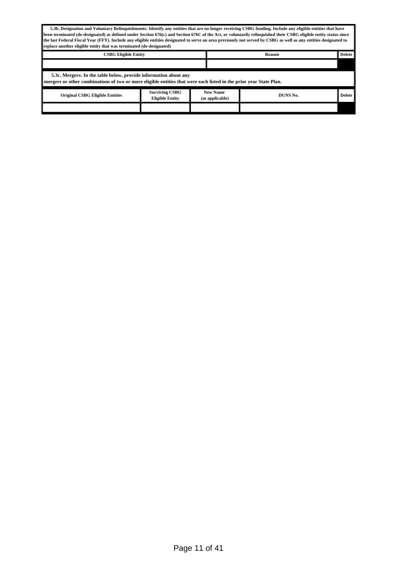| 5.3b. Designation and Voluntary Relinquishments: Identify any entities that are no longer receiving CSBG funding. Include any eligible entities that have<br>been terminated (de-designated) as defined under Section 676(c) and Section 676C of the Act, or voluntarily relinquished their CSBG eligible entity status since<br>the last Federal Fiscal Year (FFY). Include any eligible entities designated to serve an area previously not served by CSBG as well as any entities designated to<br>replace another eligible entity that was terminated (de-designated) |                                                                                                                                                                                        |                                    |          |        |  |  |  |
|---------------------------------------------------------------------------------------------------------------------------------------------------------------------------------------------------------------------------------------------------------------------------------------------------------------------------------------------------------------------------------------------------------------------------------------------------------------------------------------------------------------------------------------------------------------------------|----------------------------------------------------------------------------------------------------------------------------------------------------------------------------------------|------------------------------------|----------|--------|--|--|--|
|                                                                                                                                                                                                                                                                                                                                                                                                                                                                                                                                                                           | <b>Delete</b><br><b>CSBG Eligible Entity</b><br><b>Reason</b>                                                                                                                          |                                    |          |        |  |  |  |
|                                                                                                                                                                                                                                                                                                                                                                                                                                                                                                                                                                           |                                                                                                                                                                                        |                                    |          |        |  |  |  |
|                                                                                                                                                                                                                                                                                                                                                                                                                                                                                                                                                                           | 5.3c. Mergers: In the table below, provide information about any<br>mergers or other combinations of two or more eligible entities that were each listed in the prior year State Plan. |                                    |          |        |  |  |  |
| <b>Original CSBG Eligible Entities</b>                                                                                                                                                                                                                                                                                                                                                                                                                                                                                                                                    | <b>Surviving CSBG</b><br><b>Eligible Entity</b>                                                                                                                                        | <b>New Name</b><br>(as applicable) | DUNS No. | Delete |  |  |  |
|                                                                                                                                                                                                                                                                                                                                                                                                                                                                                                                                                                           |                                                                                                                                                                                        |                                    |          |        |  |  |  |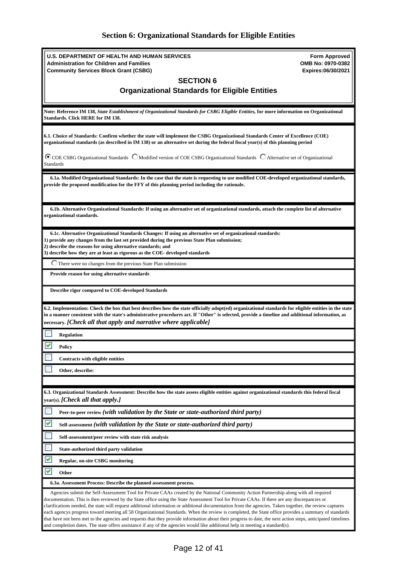# <span id="page-11-0"></span>**Section 6: Organizational Standards for Eligible Entities**

| U.S. DEPARTMENT OF HEALTH AND HUMAN SERVICES                                                                                                                                                                                                                                                                                                                                                                                                                                                                                                                                                                                                                                                                                                                                                                                                                                                               | <b>Form Approved</b><br>OMB No: 0970-0382 |
|------------------------------------------------------------------------------------------------------------------------------------------------------------------------------------------------------------------------------------------------------------------------------------------------------------------------------------------------------------------------------------------------------------------------------------------------------------------------------------------------------------------------------------------------------------------------------------------------------------------------------------------------------------------------------------------------------------------------------------------------------------------------------------------------------------------------------------------------------------------------------------------------------------|-------------------------------------------|
| <b>Administration for Children and Families</b><br><b>Community Services Block Grant (CSBG)</b>                                                                                                                                                                                                                                                                                                                                                                                                                                                                                                                                                                                                                                                                                                                                                                                                            | Expires:06/30/2021                        |
| <b>SECTION 6</b>                                                                                                                                                                                                                                                                                                                                                                                                                                                                                                                                                                                                                                                                                                                                                                                                                                                                                           |                                           |
| <b>Organizational Standards for Eligible Entities</b>                                                                                                                                                                                                                                                                                                                                                                                                                                                                                                                                                                                                                                                                                                                                                                                                                                                      |                                           |
|                                                                                                                                                                                                                                                                                                                                                                                                                                                                                                                                                                                                                                                                                                                                                                                                                                                                                                            |                                           |
| Note: Reference IM 138, State Establishment of Organizational Standards for CSBG Eligible Entities, for more information on Organizational<br><b>Standards. Click HERE for IM 138.</b>                                                                                                                                                                                                                                                                                                                                                                                                                                                                                                                                                                                                                                                                                                                     |                                           |
| 6.1. Choice of Standards: Confirm whether the state will implement the CSBG Organizational Standards Center of Excellence (COE)<br>organizational standards (as described in IM 138) or an alternative set during the federal fiscal year(s) of this planning period                                                                                                                                                                                                                                                                                                                                                                                                                                                                                                                                                                                                                                       |                                           |
| C COE CSBG Organizational Standards C Modified version of COE CSBG Organizational Standards C Alternative set of Organizational<br><b>Standards</b>                                                                                                                                                                                                                                                                                                                                                                                                                                                                                                                                                                                                                                                                                                                                                        |                                           |
| 6.1a. Modified Organizational Standards: In the case that the state is requesting to use modified COE-developed organizational standards,<br>provide the proposed modification for the FFY of this planning period including the rationale.                                                                                                                                                                                                                                                                                                                                                                                                                                                                                                                                                                                                                                                                |                                           |
| 6.1b. Alternative Organizational Standards: If using an alternative set of organizational standards, attach the complete list of alternative<br>organizational standards.                                                                                                                                                                                                                                                                                                                                                                                                                                                                                                                                                                                                                                                                                                                                  |                                           |
| 6.1c. Alternative Organizational Standards Changes: If using an alternative set of organizational standards:<br>1) provide any changes from the last set provided during the previous State Plan submission;<br>2) describe the reasons for using alternative standards; and<br>3) describe how they are at least as rigorous as the COE- developed standards                                                                                                                                                                                                                                                                                                                                                                                                                                                                                                                                              |                                           |
| There were no changes from the previous State Plan submission                                                                                                                                                                                                                                                                                                                                                                                                                                                                                                                                                                                                                                                                                                                                                                                                                                              |                                           |
| Provide reason for using alternative standards                                                                                                                                                                                                                                                                                                                                                                                                                                                                                                                                                                                                                                                                                                                                                                                                                                                             |                                           |
| Describe rigor compared to COE-developed Standards                                                                                                                                                                                                                                                                                                                                                                                                                                                                                                                                                                                                                                                                                                                                                                                                                                                         |                                           |
| 6.2. Implementation: Check the box that best describes how the state officially adopt(ed) organizational standards for eligible entities in the state<br>in a manner consistent with the state's administrative procedures act. If "Other" is selected, provide a timeline and additional information, as<br>necessary. [Check all that apply and narrative where applicable]                                                                                                                                                                                                                                                                                                                                                                                                                                                                                                                              |                                           |
| <b>Regulation</b>                                                                                                                                                                                                                                                                                                                                                                                                                                                                                                                                                                                                                                                                                                                                                                                                                                                                                          |                                           |
| V<br>Policy                                                                                                                                                                                                                                                                                                                                                                                                                                                                                                                                                                                                                                                                                                                                                                                                                                                                                                |                                           |
| Contracts with eligible entities                                                                                                                                                                                                                                                                                                                                                                                                                                                                                                                                                                                                                                                                                                                                                                                                                                                                           |                                           |
|                                                                                                                                                                                                                                                                                                                                                                                                                                                                                                                                                                                                                                                                                                                                                                                                                                                                                                            |                                           |
| Other, describe:                                                                                                                                                                                                                                                                                                                                                                                                                                                                                                                                                                                                                                                                                                                                                                                                                                                                                           |                                           |
|                                                                                                                                                                                                                                                                                                                                                                                                                                                                                                                                                                                                                                                                                                                                                                                                                                                                                                            |                                           |
| 6.3. Organizational Standards Assessment: Describe how the state assess eligible entities against organizational standards this federal fiscal<br>year(s). [Check all that apply.]                                                                                                                                                                                                                                                                                                                                                                                                                                                                                                                                                                                                                                                                                                                         |                                           |
| Peer-to-peer review (with validation by the State or state-authorized third party)                                                                                                                                                                                                                                                                                                                                                                                                                                                                                                                                                                                                                                                                                                                                                                                                                         |                                           |
| V<br>Self-assessment (with validation by the State or state-authorized third party)                                                                                                                                                                                                                                                                                                                                                                                                                                                                                                                                                                                                                                                                                                                                                                                                                        |                                           |
| Self-assessment/peer review with state risk analysis                                                                                                                                                                                                                                                                                                                                                                                                                                                                                                                                                                                                                                                                                                                                                                                                                                                       |                                           |
| State-authorized third party validation                                                                                                                                                                                                                                                                                                                                                                                                                                                                                                                                                                                                                                                                                                                                                                                                                                                                    |                                           |
| <b>Regular, on-site CSBG monitoring</b>                                                                                                                                                                                                                                                                                                                                                                                                                                                                                                                                                                                                                                                                                                                                                                                                                                                                    |                                           |
| ᢦ<br>Other                                                                                                                                                                                                                                                                                                                                                                                                                                                                                                                                                                                                                                                                                                                                                                                                                                                                                                 |                                           |
| 6.3a. Assessment Process: Describe the planned assessment process.                                                                                                                                                                                                                                                                                                                                                                                                                                                                                                                                                                                                                                                                                                                                                                                                                                         |                                           |
| Agencies submit the Self-Assessment Tool for Private CAAs created by the National Community Action Partnership along with all required<br>documentation. This is then reviewed by the State office using the State Assessment Tool for Private CAAs. If there are any discrepancies or<br>clarifications needed, the state will request additional information or additional documentation from the agencies. Taken together, the review captures<br>each agencys progress toward meeting all 58 Organizational Standards. When the review is completed, the State office provides a summary of standards<br>that have not been met to the agencies and requests that they provide information about their progress to date, the next action steps, anticipated timelines<br>and completion dates. The state offers assistance if any of the agencies would like additional help in meeting a standard(s). |                                           |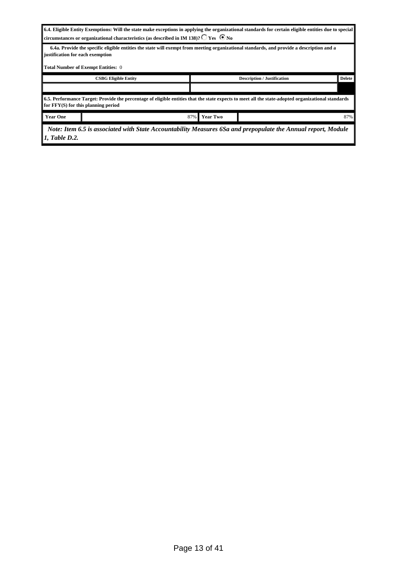| 6.4. Eligible Entity Exemptions: Will the state make exceptions in applying the organizational standards for certain eligible entities due to special |
|-------------------------------------------------------------------------------------------------------------------------------------------------------|
| circumstances or organizational characteristics (as described in IM 138)? $\bigcirc$ Yes $\bigcirc$ No                                                |

 **6.4a. Provide the specific eligible entities the state will exempt from meeting organizational standards, and provide a description and a justification for each exemption**

|  | <b>Total Number of Exempt Entities: 0</b> |  |
|--|-------------------------------------------|--|

| <b>Description / Justification</b><br><b>CSBG Eligible Entity</b>                                                                                                                           |  |                           |  | <b>Delete</b> |  |
|---------------------------------------------------------------------------------------------------------------------------------------------------------------------------------------------|--|---------------------------|--|---------------|--|
|                                                                                                                                                                                             |  |                           |  |               |  |
| 6.5. Performance Target: Provide the percentage of eligible entities that the state expects to meet all the state-adopted organizational standards<br>for $FFY(S)$ for this planning period |  |                           |  |               |  |
| <b>Year One</b>                                                                                                                                                                             |  | $87\%$<br><b>Year Two</b> |  | 87%           |  |
|                                                                                                                                                                                             |  |                           |  |               |  |

 *Note: Item 6.5 is associated with State Accountability Measures 6Sa and prepopulate the Annual report, Module 1, Table D.2.*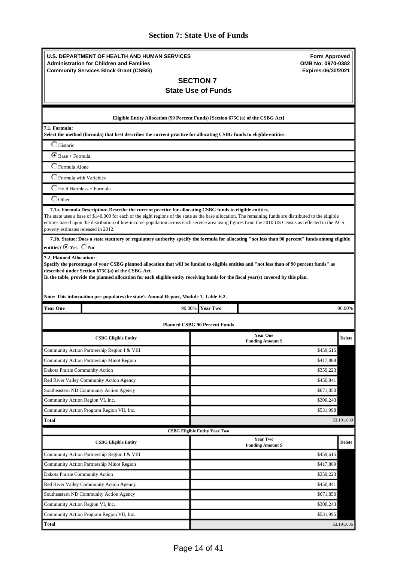# <span id="page-13-0"></span>**Section 7: State Use of Funds**

| <b>U.S. DEPARTMENT OF HEALTH AND HUMAN SERVICES</b><br><b>Administration for Children and Families</b><br><b>Community Services Block Grant (CSBG)</b>                                                                                        | <b>Form Approved</b><br>OMB No: 0970-0382<br>Expires:06/30/2021                                                                                                                                                                                                                                                   |  |  |
|-----------------------------------------------------------------------------------------------------------------------------------------------------------------------------------------------------------------------------------------------|-------------------------------------------------------------------------------------------------------------------------------------------------------------------------------------------------------------------------------------------------------------------------------------------------------------------|--|--|
|                                                                                                                                                                                                                                               | <b>SECTION 7</b><br><b>State Use of Funds</b>                                                                                                                                                                                                                                                                     |  |  |
|                                                                                                                                                                                                                                               |                                                                                                                                                                                                                                                                                                                   |  |  |
|                                                                                                                                                                                                                                               | Eligible Entity Allocation (90 Percent Funds) [Section 675C(a) of the CSBG Act]                                                                                                                                                                                                                                   |  |  |
| 7.1. Formula:<br>Select the method (formula) that best describes the current practice for allocating CSBG funds to eligible entities.                                                                                                         |                                                                                                                                                                                                                                                                                                                   |  |  |
| $\Box$ Historic                                                                                                                                                                                                                               |                                                                                                                                                                                                                                                                                                                   |  |  |
| $\bullet$ Base + Formula                                                                                                                                                                                                                      |                                                                                                                                                                                                                                                                                                                   |  |  |
| C Formula Alone                                                                                                                                                                                                                               |                                                                                                                                                                                                                                                                                                                   |  |  |
| Formula with Variables                                                                                                                                                                                                                        |                                                                                                                                                                                                                                                                                                                   |  |  |
| Hold Harmless + Formula                                                                                                                                                                                                                       |                                                                                                                                                                                                                                                                                                                   |  |  |
| $\bigcirc$ Other                                                                                                                                                                                                                              |                                                                                                                                                                                                                                                                                                                   |  |  |
| 7.1a. Formula Description: Describe the current practice for allocating CSBG funds to eligible entities.<br>poverty estimates released in 2012.                                                                                               | The state uses a base of \$140,000 for each of the eight regions of the state as the base allocation. The remaining funds are distributed to the eligible<br>entities based upon the distribution of low-income population across each service area using figures from the 2010 US Census as reflected in the ACS |  |  |
| entities? $\odot$ Yes $\odot$ No                                                                                                                                                                                                              | 7.1b. Statue: Does a state statutory or regulatory authority specify the formula for allocating "not less than 90 percent" funds among eligible                                                                                                                                                                   |  |  |
| In the table, provide the planned allocation for each eligible entity receiving funds for the fiscal year(s) covered by this plan.<br>Note: This information pre-populates the state's Annual Report, Module 1, Table E.2.<br><b>Year One</b> | 90.00%<br><b>Year Two</b><br>90.00%                                                                                                                                                                                                                                                                               |  |  |
|                                                                                                                                                                                                                                               |                                                                                                                                                                                                                                                                                                                   |  |  |
|                                                                                                                                                                                                                                               | <b>Planned CSBG 90 Percent Funds</b>                                                                                                                                                                                                                                                                              |  |  |
| <b>CSBG Eligible Entity</b>                                                                                                                                                                                                                   | <b>Year One</b><br>Delete<br><b>Funding Amount \$</b>                                                                                                                                                                                                                                                             |  |  |
| Community Action Partnership Region I & VIII                                                                                                                                                                                                  | \$459,615                                                                                                                                                                                                                                                                                                         |  |  |
| Community Action Partnership Minot Region                                                                                                                                                                                                     | \$417,869                                                                                                                                                                                                                                                                                                         |  |  |
| Dakota Prairie Community Action                                                                                                                                                                                                               | \$359,223                                                                                                                                                                                                                                                                                                         |  |  |
| Red River Valley Community Action Agency                                                                                                                                                                                                      | \$450,841                                                                                                                                                                                                                                                                                                         |  |  |
| Southeastern ND Community Action Agency                                                                                                                                                                                                       | \$671,850                                                                                                                                                                                                                                                                                                         |  |  |
| Community Action Region VI, Inc.                                                                                                                                                                                                              | \$300,243                                                                                                                                                                                                                                                                                                         |  |  |
| Community Action Program Region VII, Inc.                                                                                                                                                                                                     | \$531,998                                                                                                                                                                                                                                                                                                         |  |  |
| Total                                                                                                                                                                                                                                         | \$3,191,639                                                                                                                                                                                                                                                                                                       |  |  |
|                                                                                                                                                                                                                                               | <b>CSBG Eligible Entity Year Two</b><br><b>Year Two</b>                                                                                                                                                                                                                                                           |  |  |
| <b>CSBG Eligible Entity</b>                                                                                                                                                                                                                   | <b>Delete</b><br><b>Funding Amount \$</b>                                                                                                                                                                                                                                                                         |  |  |
| Community Action Partnership Region I & VIII                                                                                                                                                                                                  | \$459,615                                                                                                                                                                                                                                                                                                         |  |  |
| Community Action Partnership Minot Region                                                                                                                                                                                                     | \$417,869                                                                                                                                                                                                                                                                                                         |  |  |
| Dakota Prairie Community Action                                                                                                                                                                                                               | \$359,223                                                                                                                                                                                                                                                                                                         |  |  |
| Red River Valley Community Action Agency                                                                                                                                                                                                      | \$450,841                                                                                                                                                                                                                                                                                                         |  |  |
| Southeastern ND Community Action Agency                                                                                                                                                                                                       | \$671,850                                                                                                                                                                                                                                                                                                         |  |  |
| Community Action Region VI, Inc.                                                                                                                                                                                                              | \$300,243                                                                                                                                                                                                                                                                                                         |  |  |
| Community Action Program Region VII, Inc.                                                                                                                                                                                                     | \$531,995                                                                                                                                                                                                                                                                                                         |  |  |
| Total                                                                                                                                                                                                                                         | \$3,191,636                                                                                                                                                                                                                                                                                                       |  |  |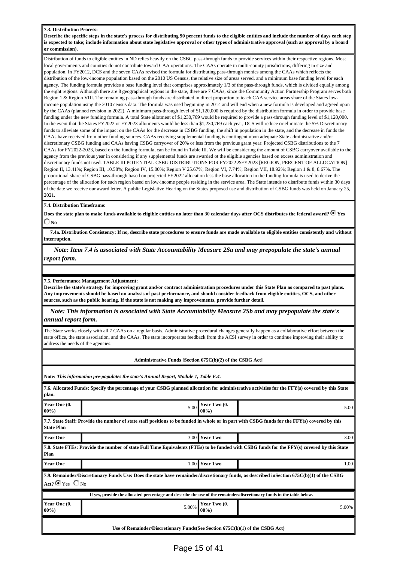#### **7.3. Distribution Process:**

**Describe the specific steps in the state's process for distributing 90 percent funds to the eligible entities and include the number of days each step is expected to take; include information about state legislative approval or other types of administrative approval (such as approval by a board or commission).**

Distribution of funds to eligible entities in ND relies heavily on the CSBG pass-through funds to provide services within their respective regions. Most local governments and counties do not contribute toward CAA operations. The CAAs operate in multi-county jurisdictions, differing in size and population. In FY2012, DCS and the seven CAAs revised the formula for distributing pass-through monies among the CAAs which reflects the distribution of the low-income population based on the 2010 US Census, the relative size of areas served, and a minimum base funding level for each agency. The funding formula provides a base funding level that comprises approximately 1/3 of the pass-through funds, which is divided equally among the eight regions. Although there are 8 geographical regions in the state, there are 7 CAAs, since the Community Action Partnership Program serves both Region 1 & Region VIII. The remaining pass-through funds are distributed in direct proportion to teach CAA service areas share of the States lowincome population using the 2010 census data. The formula was used beginning in 2014 and will end when a new formula is developed and agreed upon by the CAAs (planned revision in 2022). A minimum pass-through level of \$1,120,000 is required by the distribution formula in order to provide base funding under the new funding formula. A total State allotment of \$1,230,769 would be required to provide a pass-through funding level of \$1,120,000. In the event that the States FY2022 or FY2023 allotments would be less than \$1,230,769 each year, DCS will reduce or eliminate the 5% Discretionary funds to alleviate some of the impact on the CAAs for the decrease in CSBG funding, the shift in population in the state, and the decrease in funds the CAAs have received from other funding sources. CAAs receiving supplemental funding is contingent upon adequate State administrative and/or discretionary CSBG funding and CAAs having CSBG carryover of 20% or less from the previous grant year. Projected CSBG distributions to the 7 CAAs for FY2022-2023, based on the funding formula, can be found in Table III. We will be considering the amount of CSBG carryover available to the agency from the previous year in considering if any supplemental funds are awarded ot the eligible agencies based on excess administration and discretionary funds not used. TABLE III POTENTIAL CSBG DISTRIBUTIONS FOR FY2022 &FY2023 [REGION, PERCENT OF ALLOCATION] Region II, 13.41%; Region III, 10.58%; Region IV, 15.00%; Region V 25.67%; Region VI, 7.74%; Region VII, 18.92%; Region 1 & 8, 8.67%. The proportional share of CSBG pass-through based on projected FY2022 allocation less the base allocation in the funding formula is used to derive the percentage of the allocation for each region based on low-income people residing in the service area. The State intends to distribute funds within 30 days of the date we receive our award letter. A public Legislative Hearing on the States proposed use and distribution of CSBG funds was held on January 25, 2021.

#### **7.4. Distribution Timeframe:**

Does the state plan to make funds available to eligible entities no later than 30 calendar days after OCS distributes the federal award? <sup>6</sup> Yes  $\Box$  No  $\Box$ 

 **7.4a. Distribution Consistency: If no, describe state procedures to ensure funds are made available to eligible entities consistently and without interruption.**

 *Note: Item 7.4 is associated with State Accountability Measure 2Sa and may prepopulate the state's annual report form.*

**7.5. Performance Management Adjustment:**

**Describe the state's strategy for improving grant and/or contract administration procedures under this State Plan as compared to past plans. Any improvements should be based on analysis of past performance, and should consider feedback from eligible entities, OCS, and other sources, such as the public hearing. If the state is not making any improvements, provide further detail.**

 *Note: This information is associated with State Accountability Measure 2Sb and may prepopulate the state's annual report form.*

The State works closely with all 7 CAAs on a regular basis. Administrative procedural changes generally happen as a collaborative effort between the state office, the state association, and the CAAs. The state incorporates feedback from the ACSI survey in order to continue improving their ability to address the needs of the agencies.

| Administrative Funds [Section 675C(b)(2) of the CSBG Act] |  |  |
|-----------------------------------------------------------|--|--|
|                                                           |  |  |

**Note:** *This information pre-populates the state's Annual Report, Module 1, Table E.4.*

| 7.6. Allocated Funds: Specify the percentage of your CSBG planned allocation for administrative activities for the FFY(s) covered by this State<br>plan. |                                                                                                                                                                               |       |  |  |  |
|----------------------------------------------------------------------------------------------------------------------------------------------------------|-------------------------------------------------------------------------------------------------------------------------------------------------------------------------------|-------|--|--|--|
| Year One (0.<br>$00\%$                                                                                                                                   | Year Two (0.<br>5.00<br>$00\%$                                                                                                                                                | 5.00  |  |  |  |
| <b>State Plan</b>                                                                                                                                        | 7.7. State Staff: Provide the number of state staff positions to be funded in whole or in part with CSBG funds for the FFY(s) covered by this                                 |       |  |  |  |
| <b>Year One</b>                                                                                                                                          | <b>Year Two</b><br>3.00 <sub>l</sub>                                                                                                                                          | 3.00  |  |  |  |
| Plan                                                                                                                                                     | 7.8. State FTEs: Provide the number of state Full Time Equivalents (FTEs) to be funded with CSBG funds for the FFY(s) covered by this State                                   |       |  |  |  |
| <b>Year One</b>                                                                                                                                          | <b>Year Two</b><br>$1.00\text{ }$                                                                                                                                             | 1.00  |  |  |  |
|                                                                                                                                                          | 7.9. Remainder/Discretionary Funds Use: Does the state have remainder/discretionary funds, as described inSection 675C(b)(1) of the CSBG<br>Act? $\bigcirc$ Yes $\bigcirc$ No |       |  |  |  |
|                                                                                                                                                          | If yes, provide the allocated percentage and describe the use of the remainder/discretionary funds in the table below.                                                        |       |  |  |  |
| Year One (0.<br>$00\%$                                                                                                                                   | Year Two (0.<br>5.00%<br>$00\%$                                                                                                                                               | 5.00% |  |  |  |
| Use of Remainder/Discretionary Funds(See Section $675C(b)(1)$ of the CSBG Act)                                                                           |                                                                                                                                                                               |       |  |  |  |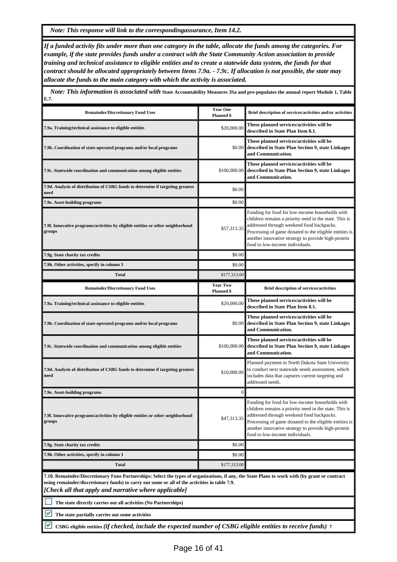*Note: This response will link to the correspondingassurance, Item 14.2.*

*If a funded activity fits under more than one category in the table, allocate the funds among the categories. For example, if the state provides funds under a contract with the State Community Action association to provide training and technical assistance to eligible entities and to create a statewide data system, the funds for that contract should be allocated appropriately between Items 7.9a. - 7.9c. If allocation is not possible, the state may allocate the funds to the main category with which the activity is associated.*

 *Note: This information is associated with* **State Accountability Measures 3Sa and pre-populates the annual report Module 1, Table E.7. Remainder/Discretionary Fund Uses <b>Year One**<br> **Planned \$** Planned \$ **Planned \$ Brief description of services/activities and/or activities 7.9a. Training/technical assistance to eligible entities** \$20,000.00 **These planned services/activities will be described in State Plan Item 8.1. 7.9b. Coordination of state-operated programs and/or local programs** \$0.00 **These planned services/activities will be described in State Plan Section 9, state Linkages and Communication. 7.9c. Statewide coordination and communication among eligible entities** \$100,000.00 **These planned services/activities will be described in State Plan Section 9, state Linkages and Communication. 7.9d. Analysis of distribution of CSBG funds to determine if targeting greatest need** \$0.00 **7.9e.** Asset-building programs  $\blacksquare$  \$0.00 **7.9f. Innovative programs/activities by eligible entities or other neighborhood groups** \$57,313.35 Funding for food for low-income households with children remains a priority need in the state. This is addressed through weekend food backpacks. Processing of game donated to the eligible entities is another innovative strategy to provide high-protein food to low-income individuals. **7.9g. State charity tax credits**  $\qquad$  \$0.00 **7.9h. Other activities, specify in column 3** \$0.000 \$1.000 \$1.000 \$1.000 \$1.000 \$1.000 \$1.000 \$1.000 \$1.000 \$1.000 \$1.000 \$1.000 \$1.000 \$1.000 \$1.000 \$1.000 \$1.000 \$1.000 \$1.000 \$1.000 \$1.000 \$1.000 \$1.000 \$1.000 \$1.000 \$ **Total** \$177,313.00 **Remainder/Discretionary Fund Uses Year Two**<br> **Planned \$ Planned \$ Brief description of services/activities 7.9a. Training/technical assistance to eligible entities** \$20,000.00 **These planned services/activities will be described in State Plan Item 8.1. 7.9b. Coordination of state-operated programs and/or local programs** \$0.00 **These planned services/activities will be described in State Plan Section 9, state Linkages and Communication. 7.9c. Statewide coordination and communication among eligible entities** \$100,000.00 **These planned services/activities will be described in State Plan Section 9, state Linkages and Communication. 7.9d. Analysis of distribution of CSBG funds to determine if targeting greatest need** \$10,000.00 Planned payment to North Dakota State University to conduct next statewide needs assessment, which includes data that captures current targeting and addressed needs. **7.9e. Asset-building programs** 0 **7.9f. Innovative programs/activities by eligible entities or other neighborhood groups** \$47,313.35 Funding for food for low-income households with children remains a priority need in the state. This is addressed through weekend food backpacks. Processing of game donated to the eligible entities is another innovative strategy to provide high-protein food to low-income individuals. **7.9g. State charity tax credits**  $\qquad$  \$0.00 **7.9h. Other activities, specify in column 3** \$0.00 **Total** \$177,313.00 **7.10. Remainder/Discretionary Funs Partnerships: Select the types of organizations, if any, the State Plans to work with (by grant or contract**

**using remainder/discretionary funds) to carry out some or all of the activities in table 7.9.** *[Check all that apply and narrative where applicable]*

**The state directly carries out all activities (No Partnerships)**

**The state partially carries out some activities**

v **CSBG eligible entities** *(if checked, include the expected number of CSBG eligible entities to receive funds)* **7**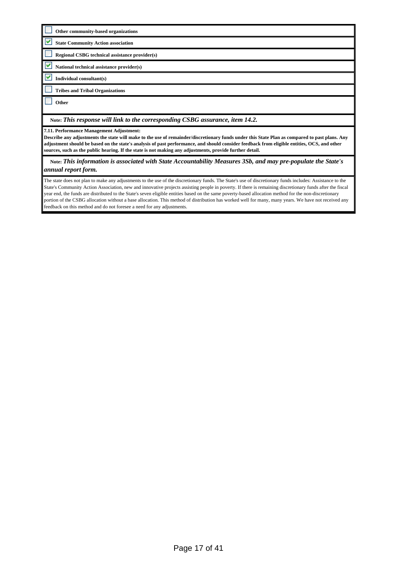| Other community-based organizations                                                                                                                                                       |
|-------------------------------------------------------------------------------------------------------------------------------------------------------------------------------------------|
| <b>State Community Action association</b>                                                                                                                                                 |
| Regional CSBG technical assistance provider(s)                                                                                                                                            |
| National technical assistance provider(s)                                                                                                                                                 |
| Individual consultant(s)                                                                                                                                                                  |
| <b>Tribes and Tribal Organizations</b>                                                                                                                                                    |
| Other                                                                                                                                                                                     |
|                                                                                                                                                                                           |
| Note: This response will link to the corresponding CSBG assurance, item 14.2.                                                                                                             |
| 7.11. Performance Management Adjustment:<br>Describe any adjustments the state will make to the use of remainder/discretionary funds under this State Plan as compared to nest plans. Any |

**Describe any adjustments the state will make to the use of remainder/discretionary funds under this State Plan as compared to past plans. Any adjustment should be based on the state's analysis of past performance, and should consider feedback from eligible entities, OCS, and other sources, such as the public hearing. If the state is not making any adjustments, provide further detail.**

 **Note:** *This information is associated with State Accountability Measures 3Sb, and may pre-populate the State's annual report form.*

The state does not plan to make any adjustments to the use of the discretionary funds. The State's use of discretionary funds includes: Assistance to the State's Community Action Association, new and innovative projects assisting people in poverty. If there is remaining discretionary funds after the fiscal year end, the funds are distributed to the State's seven eligible entities based on the same poverty-based allocation method for the non-discretionary portion of the CSBG allocation without a base allocation. This method of distribution has worked well for many, many years. We have not received any feedback on this method and do not foresee a need for any adjustments.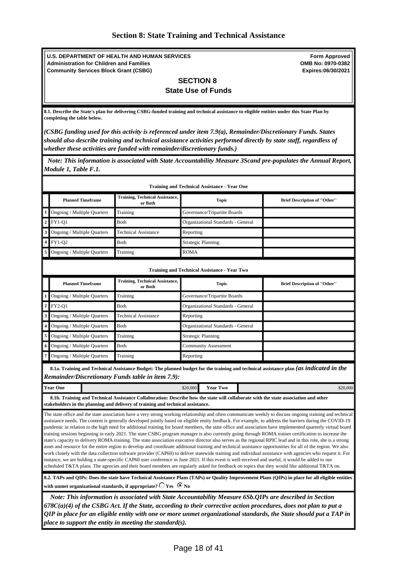**U.S. DEPARTMENT OF HEALTH AND HUMAN SERVICES Administration for Children and Families Community Services Block Grant (CSBG)**

**Form Approved OMB No: 0970-0382 Expires:06/30/2021**

### <span id="page-17-0"></span>**SECTION 8 State Use of Funds**

**8.1. Describe the State's plan for delivering CSBG-funded training and technical assistance to eligible entities under this State Plan by completing the table below.** 

*(CSBG funding used for this activity is referenced under item 7.9(a), Remainder/Discretionary Funds. States should also describe training and technical assistance activities performed directly by state staff, regardless of whether these activities are funded with remainder/discretionary funds.)*

 *Note: This information is associated with State Accountability Measure 3Scand pre-populates the Annual Report, Module 1, Table F.1.*

|              | <b>Training and Technical Assistance - Year One</b>                                                                                                                                                                                                                                                                                                                                                                                                                                                                                                                                                                                                                                                                                                                                                                                                                                                                                                                                                                                                                                                                                                                                                                                                                                                                                                                                                                                                                                                                                                                                                 |                                                                                                                                                                                                                        |                           |                                                     |  |                                                                                                                                        |
|--------------|-----------------------------------------------------------------------------------------------------------------------------------------------------------------------------------------------------------------------------------------------------------------------------------------------------------------------------------------------------------------------------------------------------------------------------------------------------------------------------------------------------------------------------------------------------------------------------------------------------------------------------------------------------------------------------------------------------------------------------------------------------------------------------------------------------------------------------------------------------------------------------------------------------------------------------------------------------------------------------------------------------------------------------------------------------------------------------------------------------------------------------------------------------------------------------------------------------------------------------------------------------------------------------------------------------------------------------------------------------------------------------------------------------------------------------------------------------------------------------------------------------------------------------------------------------------------------------------------------------|------------------------------------------------------------------------------------------------------------------------------------------------------------------------------------------------------------------------|---------------------------|-----------------------------------------------------|--|----------------------------------------------------------------------------------------------------------------------------------------|
|              | <b>Planned Timeframe</b>                                                                                                                                                                                                                                                                                                                                                                                                                                                                                                                                                                                                                                                                                                                                                                                                                                                                                                                                                                                                                                                                                                                                                                                                                                                                                                                                                                                                                                                                                                                                                                            | <b>Training, Technical Assistance,</b><br>or Both                                                                                                                                                                      |                           | <b>Topic</b>                                        |  | <b>Brief Description of "Other"</b>                                                                                                    |
| $\mathbf{1}$ | Ongoing / Multiple Quarters                                                                                                                                                                                                                                                                                                                                                                                                                                                                                                                                                                                                                                                                                                                                                                                                                                                                                                                                                                                                                                                                                                                                                                                                                                                                                                                                                                                                                                                                                                                                                                         | Training                                                                                                                                                                                                               |                           | Governance/Tripartite Boards                        |  |                                                                                                                                        |
| $\mathbf 2$  | <b>FY1-Q1</b>                                                                                                                                                                                                                                                                                                                                                                                                                                                                                                                                                                                                                                                                                                                                                                                                                                                                                                                                                                                                                                                                                                                                                                                                                                                                                                                                                                                                                                                                                                                                                                                       | <b>B</b> oth                                                                                                                                                                                                           |                           | Organizational Standards - General                  |  |                                                                                                                                        |
| 3            | <b>Ongoing / Multiple Quarters</b>                                                                                                                                                                                                                                                                                                                                                                                                                                                                                                                                                                                                                                                                                                                                                                                                                                                                                                                                                                                                                                                                                                                                                                                                                                                                                                                                                                                                                                                                                                                                                                  | <b>Technical Assistance</b>                                                                                                                                                                                            | Reporting                 |                                                     |  |                                                                                                                                        |
| 4            | FY1-02                                                                                                                                                                                                                                                                                                                                                                                                                                                                                                                                                                                                                                                                                                                                                                                                                                                                                                                                                                                                                                                                                                                                                                                                                                                                                                                                                                                                                                                                                                                                                                                              | Both                                                                                                                                                                                                                   | <b>Strategic Planning</b> |                                                     |  |                                                                                                                                        |
| 5            | Ongoing / Multiple Quarters                                                                                                                                                                                                                                                                                                                                                                                                                                                                                                                                                                                                                                                                                                                                                                                                                                                                                                                                                                                                                                                                                                                                                                                                                                                                                                                                                                                                                                                                                                                                                                         | Training                                                                                                                                                                                                               | <b>ROMA</b>               |                                                     |  |                                                                                                                                        |
|              |                                                                                                                                                                                                                                                                                                                                                                                                                                                                                                                                                                                                                                                                                                                                                                                                                                                                                                                                                                                                                                                                                                                                                                                                                                                                                                                                                                                                                                                                                                                                                                                                     |                                                                                                                                                                                                                        |                           | <b>Training and Technical Assistance - Year Two</b> |  |                                                                                                                                        |
|              | <b>Planned Timeframe</b>                                                                                                                                                                                                                                                                                                                                                                                                                                                                                                                                                                                                                                                                                                                                                                                                                                                                                                                                                                                                                                                                                                                                                                                                                                                                                                                                                                                                                                                                                                                                                                            | <b>Training, Technical Assistance,</b><br>or Both                                                                                                                                                                      |                           | <b>Topic</b>                                        |  | <b>Brief Description of "Other"</b>                                                                                                    |
| $\mathbf 1$  | Ongoing / Multiple Quarters                                                                                                                                                                                                                                                                                                                                                                                                                                                                                                                                                                                                                                                                                                                                                                                                                                                                                                                                                                                                                                                                                                                                                                                                                                                                                                                                                                                                                                                                                                                                                                         | Training                                                                                                                                                                                                               |                           | Governance/Tripartite Boards                        |  |                                                                                                                                        |
| $\mathbf 2$  | FY2-01                                                                                                                                                                                                                                                                                                                                                                                                                                                                                                                                                                                                                                                                                                                                                                                                                                                                                                                                                                                                                                                                                                                                                                                                                                                                                                                                                                                                                                                                                                                                                                                              | <b>B</b> oth                                                                                                                                                                                                           |                           | Organizational Standards - General                  |  |                                                                                                                                        |
| 3            | Ongoing / Multiple Quarters                                                                                                                                                                                                                                                                                                                                                                                                                                                                                                                                                                                                                                                                                                                                                                                                                                                                                                                                                                                                                                                                                                                                                                                                                                                                                                                                                                                                                                                                                                                                                                         | <b>Technical Assistance</b>                                                                                                                                                                                            | Reporting                 |                                                     |  |                                                                                                                                        |
| 4            | Ongoing / Multiple Quarters                                                                                                                                                                                                                                                                                                                                                                                                                                                                                                                                                                                                                                                                                                                                                                                                                                                                                                                                                                                                                                                                                                                                                                                                                                                                                                                                                                                                                                                                                                                                                                         | <b>B</b> oth                                                                                                                                                                                                           |                           | Organizational Standards - General                  |  |                                                                                                                                        |
| 5            | Ongoing / Multiple Quarters                                                                                                                                                                                                                                                                                                                                                                                                                                                                                                                                                                                                                                                                                                                                                                                                                                                                                                                                                                                                                                                                                                                                                                                                                                                                                                                                                                                                                                                                                                                                                                         | Training                                                                                                                                                                                                               |                           | <b>Strategic Planning</b>                           |  |                                                                                                                                        |
| 6            | <b>Ongoing / Multiple Quarters</b>                                                                                                                                                                                                                                                                                                                                                                                                                                                                                                                                                                                                                                                                                                                                                                                                                                                                                                                                                                                                                                                                                                                                                                                                                                                                                                                                                                                                                                                                                                                                                                  | <b>B</b> oth                                                                                                                                                                                                           |                           | <b>Community Assessment</b>                         |  |                                                                                                                                        |
| 7            | Ongoing / Multiple Quarters                                                                                                                                                                                                                                                                                                                                                                                                                                                                                                                                                                                                                                                                                                                                                                                                                                                                                                                                                                                                                                                                                                                                                                                                                                                                                                                                                                                                                                                                                                                                                                         | Training                                                                                                                                                                                                               | Reporting                 |                                                     |  |                                                                                                                                        |
|              |                                                                                                                                                                                                                                                                                                                                                                                                                                                                                                                                                                                                                                                                                                                                                                                                                                                                                                                                                                                                                                                                                                                                                                                                                                                                                                                                                                                                                                                                                                                                                                                                     | Remainder/Discretionary Funds table in item 7.9):                                                                                                                                                                      |                           |                                                     |  | 8.1a. Training and Technical Assistance Budget: The planned budget for the training and technical assistance plan (as indicated in the |
|              | <b>Year One</b>                                                                                                                                                                                                                                                                                                                                                                                                                                                                                                                                                                                                                                                                                                                                                                                                                                                                                                                                                                                                                                                                                                                                                                                                                                                                                                                                                                                                                                                                                                                                                                                     |                                                                                                                                                                                                                        | \$20,000                  | <b>Year Two</b>                                     |  | \$20,000                                                                                                                               |
|              |                                                                                                                                                                                                                                                                                                                                                                                                                                                                                                                                                                                                                                                                                                                                                                                                                                                                                                                                                                                                                                                                                                                                                                                                                                                                                                                                                                                                                                                                                                                                                                                                     | 8.1b. Training and Technical Assistance Collaboration: Describe how the state will collaborate with the state association and other<br>stakeholders in the planning and delivery of training and technical assistance. |                           |                                                     |  |                                                                                                                                        |
|              | The state office and the state association have a very strong working relationship and often communicate weekly to discuss ongoing training and technical<br>assistance needs. The content is generally developed jointly based on eligible entity feedback. For example, to address the barriers during the COVID-19<br>pandemic in relation to the high need for additional training for board members, the state office and association have implemented quarterly virtual board<br>training sessions beginning in early 2021. The state CSBG program manager is also currently going through ROMA trainer certification to increase the<br>state's capacity to delivery ROMA training. The state association executive director also serves as the regional RPIC lead and in this role, she is a strong<br>asset and resource for the entire region to develop and coordinate additional training and technical assistance opportunities for all of the region. We also<br>work closely with the data collection software provider (CAP60) to deliver statewide training and individual assistance with agencies who request it. For<br>instance, we are holding a state-specific CAP60 user conference in June 2021. If this event is well-received and useful, it would be added to our<br>scheduled T&TA plans. The agencies and their board members are regularly asked for feedback on topics that they would like additional T&TA on.<br>8.2. TAPs and QIPs: Does the state have Technical Assistance Plans (TAPs) or Quality Improvement Plans (QIPs) in place for all eligible entities |                                                                                                                                                                                                                        |                           |                                                     |  |                                                                                                                                        |
|              |                                                                                                                                                                                                                                                                                                                                                                                                                                                                                                                                                                                                                                                                                                                                                                                                                                                                                                                                                                                                                                                                                                                                                                                                                                                                                                                                                                                                                                                                                                                                                                                                     | with unmet organizational standards, if appropriate? $\overline{\bigcirc}$ Yes $\overline{\bigcirc}$ No                                                                                                                |                           |                                                     |  |                                                                                                                                        |
|              | Note: This information is associated with State Accountability Measure 6Sb. QIPs are described in Section<br>$K79C(a)(A)$ of the CSDC Act, If the State generalize to their corrective getien procedures, does not play to put a                                                                                                                                                                                                                                                                                                                                                                                                                                                                                                                                                                                                                                                                                                                                                                                                                                                                                                                                                                                                                                                                                                                                                                                                                                                                                                                                                                    |                                                                                                                                                                                                                        |                           |                                                     |  |                                                                                                                                        |

*678C(a)(4) of the CSBG Act. If the State, according to their corrective action procedures, does not plan to put a QIP in place for an eligible entity with one or more unmet organizational standards, the State should put a TAP in place to support the entity in meeting the standard(s).*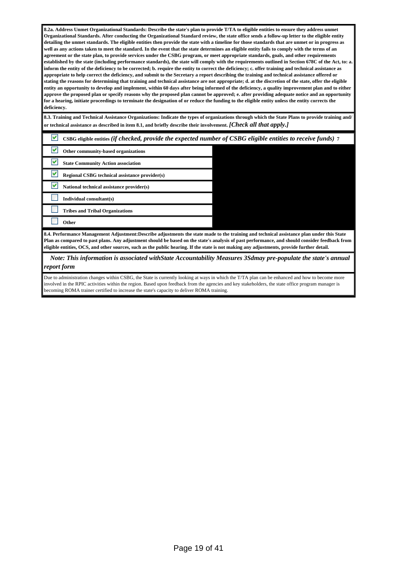**8.2a. Address Unmet Organizational Standards: Describe the state's plan to provide T/TA to eligible entities to ensure they address unmet Organizational Standards. After conducting the Organizational Standard review, the state office sends a follow-up letter to the eligible entity detailing the unmet standards. The eligible entities then provide the state with a timeline for those standards that are unmet or in progress as well as any actions taken to meet the standard. In the event that the state determines an eligible entity fails to comply with the terms of an agreement or the state plan, to provide services under the CSBG program, or meet appropriate standards, goals, and other requirements established by the state (including performance standards), the state will comply with the requirements outlined in Section 678C of the Act, to: a. inform the entity of the deficiency to be corrected; b. require the entity to correct the deficiency; c. offer training and technical assistance as appropriate to help correct the deficiency, and submit to the Secretary a report describing the training and technical assistance offered or stating the reasons for determining that training and technical assistance are not appropriate; d. at the discretion of the state, offer the eligible entity an opportunity to develop and implement, within 60 days after being informed of the deficiency, a quality improvement plan and to either approve the proposed plan or specify reasons why the proposed plan cannot be approved; e. after providing adequate notice and an opportunity for a hearing, initiate proceedings to terminate the designation of or reduce the funding to the eligible entity unless the entity corrects the deficiency.**

**8.3. Training and Technical Assistance Organizations: Indicate the types of organizations through which the State Plans to provide training and/ or technical assistance as described in item 8.1, and briefly describe their involvement.** *[Check all that apply.]*

| v | CSBG eligible entities (if checked, provide the expected number of CSBG eligible entities to receive funds) 7                                                                                                                                                                                                                                                                                                                            |  |  |  |
|---|------------------------------------------------------------------------------------------------------------------------------------------------------------------------------------------------------------------------------------------------------------------------------------------------------------------------------------------------------------------------------------------------------------------------------------------|--|--|--|
| v | Other community-based organizations                                                                                                                                                                                                                                                                                                                                                                                                      |  |  |  |
|   | <b>State Community Action association</b>                                                                                                                                                                                                                                                                                                                                                                                                |  |  |  |
| v | Regional CSBG technical assistance provider(s)                                                                                                                                                                                                                                                                                                                                                                                           |  |  |  |
| v | National technical assistance provider(s)                                                                                                                                                                                                                                                                                                                                                                                                |  |  |  |
|   | Individual consultant(s)                                                                                                                                                                                                                                                                                                                                                                                                                 |  |  |  |
|   | <b>Tribes and Tribal Organizations</b>                                                                                                                                                                                                                                                                                                                                                                                                   |  |  |  |
|   | Other                                                                                                                                                                                                                                                                                                                                                                                                                                    |  |  |  |
|   | 8.4. Performance Management Adjustment:Describe adjustments the state made to the training and technical assistance plan under this State<br>Plan as compared to past plans. Any adjustment should be based on the state's analysis of past performance, and should consider feedback from<br>eligible entities, OCS, and other sources, such as the public hearing. If the state is not making any adjustments, provide further detail. |  |  |  |

 *Note: This information is associated withState Accountability Measures 3Sdmay pre-populate the state's annual report form*

Due to administration changes within CSBG, the State is currently looking at ways in which the T/TA plan can be enhanced and how to become more involved in the RPIC activities within the region. Based upon feedback from the agencies and key stakeholders, the state office program manager is becoming ROMA trainer certified to increase the state's capacity to deliver ROMA training.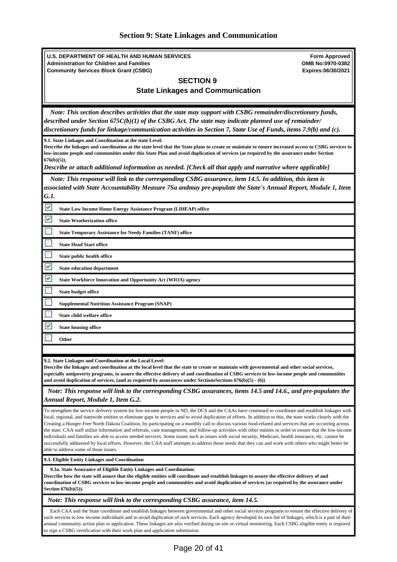<span id="page-19-0"></span>**U.S. DEPARTMENT OF HEALTH AND HUMAN SERVICES Administration for Children and Families Community Services Block Grant (CSBG) Form Approved OMB No:0970-0382 Expires:06/30/2021 SECTION 9 State Linkages and Communication** *Note: This section describes activities that the state may support with CSBG remainder/discretionary funds, described under Section 675C(b)(1) of the CSBG Act. The state may indicate planned use of remainder/ discretionary funds for linkage/communication activities in Section 7, State Use of Funds, items 7.9(b) and (c).* **9.1. State Linkages and Coordination at the state Level: Describe the linkages and coordination at the state level that the State plans to create or maintain to ensure increased access to CSBG services to low-income people and communities under this State Plan and avoid duplication of services (as required by the assurance under Section 676(b)(5)).** *Describe or attach additional information as needed. [Check all that apply and narrative where applicable] Note: This response will link to the corresponding CSBG assurance, item 14.5. In addition, this item is associated with State Accountability Measure 7Sa andmay pre-populate the State's Annual Report, Module 1, Item G.1.* **State Low Income Home Energy Assistance Program (LIHEAP) office State Weatherization office State Temporary Assistance for Needy Families (TANF) office State Head Start office State public health office State education department State Workforce Innovation and Opportunity Act (WIOA) agency State budget office Supplemental Nutrition Assistance Program (SNAP) State child welfare office State housing office Other 9.2. State Linkages and Coordination at the Local Level: Describe the linkages and coordination at the local level that the state to create or maintain with governmental and other social services, especially antipoverty programs, to assure the effective delivery of and coordination of CSBG services to low-income people and communities and avoid duplication of services, (and as required by assurances under SectionsSections 676(b)(5) - (6))** *Note: This response will link to the corresponding CSBG assurances, items 14.5 and 14.6., and pre-populates the Annual Report, Module 1, Item G.2.* To strengthen the service delivery system for low-income people in ND, the DCS and the CAAs have continued to coordinate and establish linkages with local, regional, and statewide entities to eliminate gaps in services and to avoid duplication of efforts. In addition to this, the state works closely with the Creating a Hunger-Free North Dakota Coalition, by participating on a monthly call to discuss various food-related and services that are occurring across the state. CAA staff utilize information and referrals, case management, and follow-up activities with other entities in order to ensure that the low-income individuals and families are able to access needed services. Some issues such as issues with social security, Medicare, health insurance, etc. cannot be successfully addressed by local efforts. However, the CAA staff attempts to address those needs that they can and work with others who might better be able to address some of those issues **9.3. Eligible Entity Linkages and Coordination 9.3a. State Assurance of Eligible Entity Linkages and Coordination: Describe how the state will assure that the eligible entities will coordinate and establish linkages to assure the effective delivery of and coordination of CSBG services to low-income people and communities and avoid duplication of services (as required by the assurance under Section 676(b)(5)).** *Note: This response will link to the corresponding CSBG assurance, item 14.5.* Each CAA and the State coordinate and establish linkages between governmental and other social services programs to ensure the effective delivery of such services to low income individuals and to avoid duplication of such services. Each agency developed its own list of linkages, which is a part of their annual community action plan or application. These linkages are also verified during on-site or virtual monitoring. Each CSBG eligible entity is required

to sign a CSBG certification with their work plan and application submission.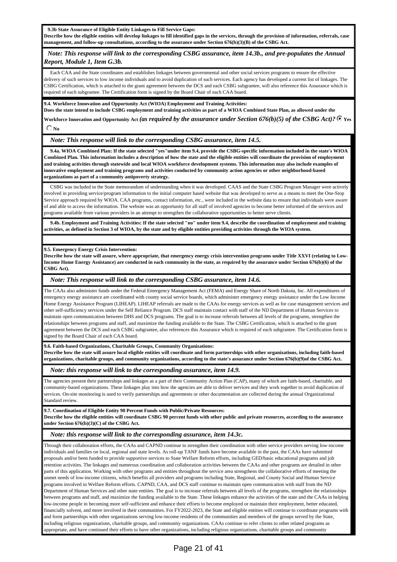**9.3b State Assurance of Eligible Entity Linkages to Fill Service Gaps:**

**Describe how the eligible entities will develop linkages to fill identified gaps in the services, through the provision of information, referrals, case management, and follow-up consultations, according to the assurance under Section 676(b)(3)(B) of the CSBG Act.**

### *Note: This response will link to the corresponding CSBG assurance, item 14.3b., and pre-populates the Annual Report, Module 1, Item G.3b.*

 Each CAA and the State coordinates and establishes linkages between governmental and other social services programs to ensure the effective delivery of such services to low income individuals and to avoid duplication of such services. Each agency has developed a current list of linkages. The CSBG Certification, which is attached to the grant agreement between the DCS and each CSBG subgrantee, will also reference this Assurance which is required of each subgrantee. The Certification form is signed by the Board Chair of each CAA board.

**9.4. Workforce Innovation and Opportunity Act (WIOA) Employment and Training Activities:** 

**Does the state intend to include CSBG employment and training activities as part of a WIOA Combined State Plan, as allowed under the** Workforce Innovation and Opportunity Act *(as required by the assurance under Section 676(b)(5) of the CSBG Act)?*  $\bullet$  Yes  $\bigcirc$  No

*Note: This response will link to the corresponding CSBG assurance, item 14.5.*

 **9.4a. WIOA Combined Plan: If the state selected "yes"under item 9.4, provide the CSBG-specific information included in the state's WIOA Combined Plan. This information includes a description of how the state and the eligible entities will coordinate the provision of employment and training activities through statewide and local WIOA workforce development systems. This information may also include examples of innovative employment and training programs and activities conducted by community action agencies or other neighborhood-based organizations as part of a community antipoverty strategy.**

 CSBG was included in the State memorandum of understanding when it was developed. CAAS and the State CSBG Program Manager were actively involved in providing service/program information to the initial computer based website that was developed to serve as a means to meet the One-Stop Service approach required by WIOA. CAA programs, contact information, etc., were included in the website data to ensure that individuals were aware of and able to access the information. The website was an opportunity for all staff of involved agencies to become better informed of the services and programs available from various providers in an attempt to strengthen the collaborative opportunities to better serve clients.

 **9.4b. Employment and Training Activities: If the state selected "no" under item 9.4, describe the coordination of employment and training activities, as defined in Section 3 of WIOA, by the state and by eligible entities providing activities through the WIOA system.**

#### **9.5. Emergency Energy Crisis Intervention:**

**Describe how the state will assure, where appropriate, that emergency energy crisis intervention programs under Title XXVI (relating to Low-Income Home Energy Assistance) are conducted in each community in the state, as required by the assurance under Section 676(b)(6) of the CSBG Act).**

#### *Note: This response will link to the corresponding CSBG assurance, item 14.6.*

The CAAs also administer funds under the Federal Emergency Management Act (FEMA) and Energy Share of North Dakota, Inc. All expenditures of emergency energy assistance are coordinated with county social service boards, which administer emergency energy assistance under the Low Income Home Energy Assistance Program (LIHEAP). LIHEAP referrals are made to the CAAs for energy services as well as for case management services and other self-sufficiency services under the Self Reliance Program. DCS staff maintain contact with staff of the ND Department of Human Services to maintain open communication between DHS and DCS programs. The goal is to increase referrals between all levels of the programs, strengthen the relationships between programs and staff, and maximize the funding available to the State. The CSBG Certification, which is attached to the grant agreement between the DCS and each CSBG subgrantee, also references this Assurance which is required of each subgrantee. The Certification form is signed by the Board Chair of each CAA board.

#### **9.6. Faith-based Organizations, Charitable Groups, Community Organizations:**

**Describe how the state will assure local eligible entities will coordinate and form partnerships with other organizations, including faith-based organizations, charitable groups, and community organizations, according to the state's assurance under Section 676(b)(9)of the CSBG Act.**

#### *Note: this response will link to the corresponding assurance, item 14.9.*

The agencies present their partnerships and linkages as a part of their Community Action Plan (CAP), many of which are faith-based, charitable, and community-based organizations. These linkages play into how the agencies are able to deliver services and they work together to avoid duplication of services. On-site monitoring is used to verify partnerships and agreements or other documentation are collected during the annual Organizational Standard review.

**9.7. Coordination of Eligible Entity 90 Percent Funds with Public/Private Resources:**

**Describe how the eligible entities will coordinate CSBG 90 percent funds with other public and private resources, according to the assurance under Section 676(b)(3)(C) of the CSBG Act.**

### *Note: this response will link to the corresponding assurance, item 14.3c.*

Through their collaboration efforts, the CAAs and CAPND continue to strengthen their coordination with other service providers serving low-income individuals and families on local, regional and state levels. As roll-up TANF funds have become available in the past, the CAAs have submitted proposals and/or been funded to provide supportive services to State Welfare Reform efforts, including GED/basic educational programs and job retention activities. The linkages and numerous coordination and collaboration activities between the CAAs and other programs are detailed in other parts of this application. Working with other programs and entities throughout the service area strengthens the collaborative efforts of meeting the unmet needs of low-income citizens, which benefits all providers and programs including State, Regional, and County Social and Human Service programs involved in Welfare Reform efforts. CAPND, CAA, and DCS staff continue to maintain open communication with staff from the ND Department of Human Services and other state entities. The goal is to increase referrals between all levels of the programs, strengthen the relationships between programs and staff, and maximize the funding available to the State. These linkages enhance the activities of the state and the CAAs in helping low-income people in becoming more self-sufficient and enhance their efforts to become employed or maintain their employment, better educated, financially solvent, and more involved in their communities. For FY2022-2023, the State and eligible entities will continue to coordinate programs with and form partnerships with other organizations serving low-income residents of the communities and members of the groups served by the State, including religious organizations, charitable groups, and community organizations. CAAs continue to refer clients to other related programs as appropriate, and have continued their efforts to have other organizations, including religious organizations, charitable groups and community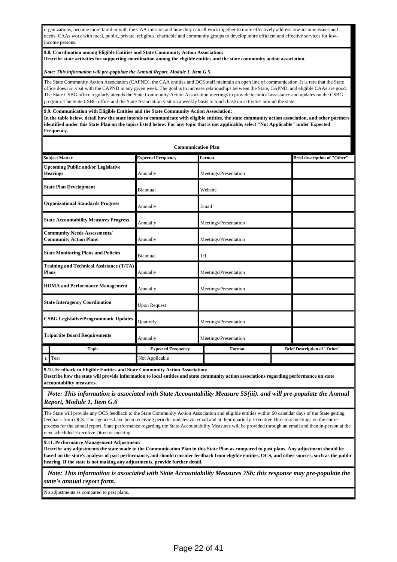organizations, become more familiar with the CAA mission and how they can all work together to more effectively address low-income issues and needs. CAAs work with local, public, private, religious, charitable and community groups to develop more efficient and effective services for lowincome persons.

#### **9.8. Coordination among Eligible Entities and State Community Action Association:**

**Describe state activities for supporting coordination among the eligible entities and the state community action association.**

#### *Note: This information will pre-populate the Annual Report, Module 1, Item G.5.*

The State Community Action Association (CAPND), the CAA entities and DCS staff maintain an open line of communication. It is rare that the State office does not visit with the CAPND in any given week. The goal is to increase relationships between the State, CAPND, and eligible CAAs are good. The State CSBG office regularly attends the State Community Action Association meetings to provide technical assistance and updates on the CSBG program. The State CSBG office and the State Association visit on a weekly basis to touch base on activities around the state.

**9.9. Communication with Eligible Entities and the State Community Action Association:**

**In the table below, detail how the state intends to communicate with eligible entities, the state community action association, and other partners identified under this State Plan on the topics listed below. For any topic that is not applicable, select "Not Applicable" under Expected Frequency.**

| <b>Communication Plan</b>                                            |                           |                       |  |                                     |  |  |  |
|----------------------------------------------------------------------|---------------------------|-----------------------|--|-------------------------------------|--|--|--|
| <b>Subject Matter</b>                                                | <b>Expected Frequency</b> | Format                |  | <b>Brief description of "Other"</b> |  |  |  |
| I<br><b>Upcoming Public and/or Legislative</b><br><b>Hearings</b>    | Annually                  | Meetings/Presentation |  |                                     |  |  |  |
| <b>State Plan Development</b>                                        | Biannual                  | Website               |  |                                     |  |  |  |
| <b>Organizational Standards Progress</b>                             | Annually                  | Email                 |  |                                     |  |  |  |
| <b>State Accountability Measures Progress</b>                        | Annually                  | Meetings/Presentation |  |                                     |  |  |  |
| <b>Community Needs Assessments/</b><br><b>Community Action Plans</b> | Annually                  | Meetings/Presentation |  |                                     |  |  |  |
| <b>State Monitoring Plans and Policies</b>                           | Biannual                  | 1:1                   |  |                                     |  |  |  |
| Training and Technical Assistance (T/TA)<br><b>Plans</b>             | Annually                  | Meetings/Presentation |  |                                     |  |  |  |
| <b>ROMA</b> and Performance Management                               | Annually                  | Meetings/Presentation |  |                                     |  |  |  |
| <b>State Interagency Coordination</b>                                | <b>Upon Request</b>       |                       |  |                                     |  |  |  |
| <b>CSBG Legislative/Programmatic Updates</b>                         | Quarterly                 | Meetings/Presentation |  |                                     |  |  |  |
| <b>Tripartite Board Requirements</b>                                 | Annually                  | Meetings/Presentation |  |                                     |  |  |  |
| <b>Topic</b>                                                         | <b>Expected Frequency</b> | Format                |  | <b>Brief Description of "Other"</b> |  |  |  |
| Test<br>$\mathbf{1}$                                                 | Not Applicable            |                       |  |                                     |  |  |  |

**9.10. Feedback to Eligible Entities and State Community Action Association:**

**Describe how the state will provide information to local entities and state community action associations regarding performance on state accountability measures.**

 *Note: This information is associated with State Accountability Measure 5S(iii). and will pre-populate the Annual Report, Module 1, Item G.6*

The State will provide any OCS feedback to the State Community Action Association and eligible entities within 60 calendar days of the State getting feedback from OCS. The agencies have been receiving periodic updates via email and at their quarterly Executive Directors meetings on the entire process for the annual report. State performance regarding the State Accountability Measures will be provided through an email and then in-person at the next scheduled Executive Director meeting.

**9.11. Performance Management Adjustment:**

**Describe any adjustments the state made to the Communication Plan in this State Plan as compared to past plans. Any adjustment should be based on the state's analysis of past performance, and should consider feedback from eligible entities, OCS, and other sources, such as the public hearing. If the state is not making any adjustments, provide further detail.**

 *Note: This information is associated with State Accountability Measures 7Sb; this response may pre-populate the state's annual report form.*

No adjustments as compared to past plans.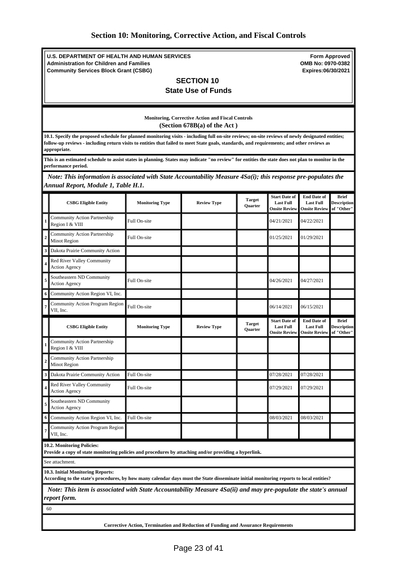<span id="page-22-0"></span>**U.S. DEPARTMENT OF HEALTH AND HUMAN SERVICES Administration for Children and Families Community Services Block Grant (CSBG)**

**Form Approved OMB No: 0970-0382 Expires:06/30/2021**

### **SECTION 10 State Use of Funds**

#### **Monitoring, Corrective Action and Fiscal Controls (Section 678B(a) of the Act )**

**10.1. Specify the proposed schedule for planned monitoring visits - including full on-site reviews; on-site reviews of newly designated entities; follow-up reviews - including return visits to entities that failed to meet State goals, standards, and requirements; and other reviews as appropriate.**

**This is an estimated schedule to assist states in planning. States may indicate "no review" for entities the state does not plan to monitor in the performance period.**

 *Note: This information is associated with State Accountability Measure 4Sa(i); this response pre-populates the Annual Report, Module 1, Table H.1.*

|                         | <b>CSBG Eligible Entity</b>                                                                                                                                                  | <b>Monitoring Type</b> | <b>Review Type</b> | <b>Target</b><br><b>Ouarter</b> | <b>Start Date of</b><br><b>Last Full</b><br><b>Onsite Review</b> | <b>End Date of</b><br><b>Last Full</b><br><b>Onsite Review</b> | <b>Brief</b><br><b>Description</b><br>of "Other" |
|-------------------------|------------------------------------------------------------------------------------------------------------------------------------------------------------------------------|------------------------|--------------------|---------------------------------|------------------------------------------------------------------|----------------------------------------------------------------|--------------------------------------------------|
|                         | Community Action Partnership<br>Region I & VIII                                                                                                                              | Full On-site           |                    |                                 | 04/21/2021                                                       | 04/22/2021                                                     |                                                  |
| $\overline{c}$          | Community Action Partnership<br>Minot Region                                                                                                                                 | Full On-site           |                    |                                 | 01/25/2021                                                       | 01/29/2021                                                     |                                                  |
| 3                       | Dakota Prairie Community Action                                                                                                                                              |                        |                    |                                 |                                                                  |                                                                |                                                  |
| 4                       | Red River Valley Community<br><b>Action Agency</b>                                                                                                                           |                        |                    |                                 |                                                                  |                                                                |                                                  |
| 5                       | Southeastern ND Community<br><b>Action Agency</b>                                                                                                                            | Full On-site           |                    |                                 | 04/26/2021                                                       | 04/27/2021                                                     |                                                  |
| 6                       | Community Action Region VI, Inc.                                                                                                                                             |                        |                    |                                 |                                                                  |                                                                |                                                  |
|                         | Community Action Program Region<br>VII, Inc.                                                                                                                                 | Full On-site           |                    |                                 | 06/14/2021                                                       | 06/15/2021                                                     |                                                  |
|                         | <b>CSBG Eligible Entity</b>                                                                                                                                                  | <b>Monitoring Type</b> | <b>Review Type</b> | <b>Target</b><br>Quarter        | <b>Start Date of</b><br><b>Last Full</b><br><b>Onsite Review</b> | <b>End Date of</b><br><b>Last Full</b><br><b>Onsite Review</b> | <b>Brief</b><br><b>Description</b><br>of "Other" |
|                         | Community Action Partnership<br>Region I & VIII                                                                                                                              |                        |                    |                                 |                                                                  |                                                                |                                                  |
| $\overline{a}$          | <b>Community Action Partnership</b><br>Minot Region                                                                                                                          |                        |                    |                                 |                                                                  |                                                                |                                                  |
| 3                       | Dakota Prairie Community Action                                                                                                                                              | Full On-site           |                    |                                 | 07/28/2021                                                       | 07/28/2021                                                     |                                                  |
| $\overline{\mathbf{4}}$ | Red River Valley Community<br><b>Action Agency</b>                                                                                                                           | Full On-site           |                    |                                 | 07/29/2021                                                       | 07/29/2021                                                     |                                                  |
| 5                       | Southeastern ND Community<br><b>Action Agency</b>                                                                                                                            |                        |                    |                                 |                                                                  |                                                                |                                                  |
| 6                       | Community Action Region VI, Inc.                                                                                                                                             | Full On-site           |                    |                                 | 08/03/2021                                                       | 08/03/2021                                                     |                                                  |
| 7                       | Community Action Program Region<br>VII, Inc.                                                                                                                                 |                        |                    |                                 |                                                                  |                                                                |                                                  |
|                         | 10.2. Monitoring Policies:<br>Provide a copy of state monitoring policies and procedures by attaching and/or providing a hyperlink.                                          |                        |                    |                                 |                                                                  |                                                                |                                                  |
|                         | See attachment.                                                                                                                                                              |                        |                    |                                 |                                                                  |                                                                |                                                  |
|                         | 10.3. Initial Monitoring Reports:<br>According to the state's procedures, by how many calendar days must the State disseminate initial monitoring reports to local entities? |                        |                    |                                 |                                                                  |                                                                |                                                  |
|                         | Note: This item is associated with State Accountability Measure 4Sa(ii) and may pre-populate the state's annual                                                              |                        |                    |                                 |                                                                  |                                                                |                                                  |

*report form.*

60

**Corrective Action, Termination and Reduction of Funding and Assurance Requirements**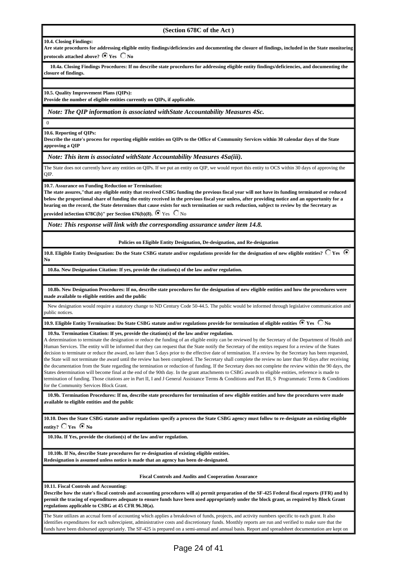#### **(Section 678C of the Act )**

#### **10.4. Closing Findings:**

**Are state procedures for addressing eligible entity findings/deficiencies and documenting the closure of findings, included in the State monitoring protocols attached above?**  $\bullet$  **Yes**  $\bullet$  **No** 

 **10.4a. Closing Findings Procedures: If no describe state procedures for addressing eligible entity findings/deficiencies, and documenting the closure of findings.**

**10.5. Quality Improvement Plans (QIPs):**

**Provide the number of eligible entities currently on QIPs, if applicable.**

*Note: The QIP information is associated withState Accountability Measures 4Sc.*

 $\Omega$ 

**10.6. Reporting of QIPs:**

**Describe the state's process for reporting eligible entities on QIPs to the Office of Community Services within 30 calendar days of the State approving a QIP**

*Note: This item is associated withState Accountability Measures 4Sa(iii).*

The State does not currently have any entities on QIPs. If we put an entity on QIP, we would report this entity to OCS within 30 days of approving the QIP.

**10.7. Assurance on Funding Reduction or Termination:**

**The state assures,"that any eligible entity that received CSBG funding the previous fiscal year will not have its funding terminated or reduced below the proportional share of funding the entity received in the previous fiscal year unless, after providing notice and an opportunity for a hearing on the record, the State determines that cause exists for such termination or such reduction, subject to review by the Secretary as provided inSection 678C(b)" per Section 676(b)(8).**  $\bullet$  Yes  $\bullet$  No

*Note: This response will link with the corresponding assurance under item 14.8.*

**Policies on Eligible Entity Designation, De-designation, and Re-designation**

10.8. Eligible Entity Designation: Do the State CSBG statute and/or regulations provide for the designation of new eligible entities?  $\bigcirc$  Yes  $\bigcirc$ **No** 

**10.8a. New Designation Citation: If yes, provide the citation(s) of the law and/or regulation.**

 **10.8b. New Designation Procedures: If no, describe state procedures for the designation of new eligible entities and how the procedures were made available to eligible entities and the public**

 New designation would require a statutory change to ND Century Code 50-44.5. The public would be informed through legislative communication and public notices.

10.9. Eligible Entity Termination: Do State CSBG statute and/or regulations provide for termination of eligible entities  $\bullet$  Yes  $\circ$  No

**10.9a. Termination Citation: If yes, provide the citation(s) of the law and/or regulation.** 

A determination to terminate the designation or reduce the funding of an eligible entity can be reviewed by the Secretary of the Department of Health and Human Services. The entity will be informed that they can request that the State notify the Secretary of the entitys request for a review of the States decision to terminate or reduce the award, no later than 5 days prior to the effective date of termination. If a review by the Secretary has been requested, the State will not terminate the award until the review has been completed. The Secretary shall complete the review no later than 90 days after receiving the documentation from the State regarding the termination or reduction of funding. If the Secretary does not complete the review within the 90 days, the States determination will become final at the end of the 90th day. In the grant attachments to CSBG awards to eligible entities, reference is made to termination of funding. Those citations are in Part II, I and J General Assistance Terms & Conditions and Part III, S Programmatic Terms & Conditions for the Community Services Block Grant.

 **10.9b. Termination Procedures: If no, describe state procedures for termination of new eligible entities and how the procedures were made available to eligible entities and the public**

**10.10. Does the State CSBG statute and/or regulations specify a process the State CSBG agency must follow to re-designate an existing eligible** entity?  $\overline{\bigcirc}$  Yes  $\overline{\bigcirc}$  No

**10.10a. If Yes, provide the citation(s) of the law and/or regulation.**

 **10.10b. If No, describe State procedures for re-designation of existing eligible entities. Redesignation is assumed unless notice is made that an agency has been de-designated.**

**Fiscal Controls and Audits and Cooperation Assurance**

**10.11. Fiscal Controls and Accounting:**

**Describe how the state's fiscal controls and accounting procedures will a) permit preparation of the SF-425 Federal fiscal reports (FFR) and b) permit the tracing of expenditures adequate to ensure funds have been used appropriately under the block grant, as required by Block Grant regulations applicable to CSBG at 45 CFR 96.30(a).**

The State utilizes an accrual form of accounting which applies a breakdown of funds, projects, and activity numbers specific to each grant. It also identifies expenditures for each subrecipient, administrative costs and discretionary funds. Monthly reports are run and verified to make sure that the funds have been disbursed appropriately. The SF-425 is prepared on a semi-annual and annual basis. Report and spreadsheet documentation are kept on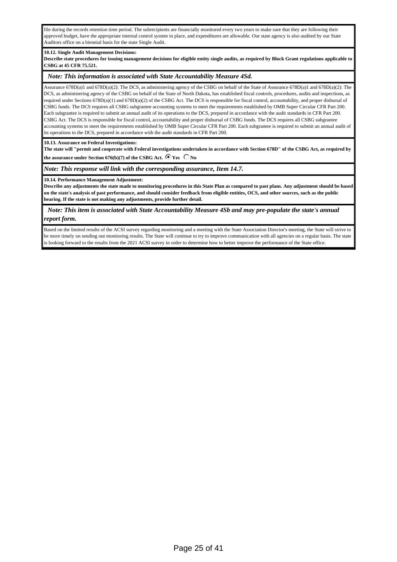file during the records retention time period. The subrecipients are financially monitored every two years to make sure that they are following their approved budget, have the appropriate internal control system in place, and expenditures are allowable. Our state agency is also audited by our State Auditors office on a biennial basis for the state Single Audit.

#### **10.12. Single Audit Management Decisions:**

**Describe state procedures for issuing management decisions for eligible entity single audits, as required by Block Grant regulations applicable to CSBG at [45 CFR 75.521.](https://www.law.cornell.edu/cfr/text/45/75.521)**

#### *Note: This information is associated with State Accountability Measure 4Sd.*

Assurance 678D(a)1 and 678D(a)(2): The DCS, as administering agency of the CSBG on behalf of the State of Assurance 678D(a)1 and 678D(a)(2): The DCS, as administering agency of the CSBG on behalf of the State of North Dakota, has established fiscal controls, procedures, audits and inspections, as required under Sections  $678D(a)(1)$  and  $678D(a)(2)$  of the CSBG Act. The DCS is responsible for fiscal control, accountability, and proper disbursal of CSBG funds. The DCS requires all CSBG subgrantee accounting systems to meet the requirements established by OMB Super Circular CFR Part 200. Each subgrantee is required to submit an annual audit of its operations to the DCS, prepared in accordance with the audit standards in CFR Part 200. CSBG Act. The DCS is responsible for fiscal control, accountability and proper disbursal of CSBG funds. The DCS requires all CSBG subgrantee accounting systems to meet the requirements established by OMB Super Circular CFR Part 200. Each subgrantee is required to submit an annual audit of its operations to the DCS, prepared in accordance with the audit standards in CFR Part 200.

**10.13. Assurance on Federal Investigations:**

**The state will "permit and cooperate with Federal investigations undertaken in accordance with Section 678D" of the CSBG Act, as required by** the assurance under Section 676(b)(7) of the CSBG Act.  $\bullet$  Yes  $\circ$  No

*Note: This response will link with the corresponding assurance, Item 14.7.*

**10.14. Performance Management Adjustment:**

**Describe any adjustments the state made to monitoring procedures in this State Plan as compared to past plans. Any adjustment should be based on the state's analysis of past performance, and should consider feedback from eligible entities, OCS, and other sources, such as the public hearing. If the state is not making any adjustments, provide further detail.**

 *Note: This item is associated with State Accountability Measure 4Sb and may pre-populate the state's annual report form.*

Based on the limited results of the ACSI survey regarding monitoring and a meeting with the State Association Director's meeting, the State will strive to be more timely on sending out monitoring results. The State will continue to try to improve communication with all agencies on a regular basis. The state is looking forward to the results from the 2021 ACSI survey in order to determine how to better improve the performance of the State office.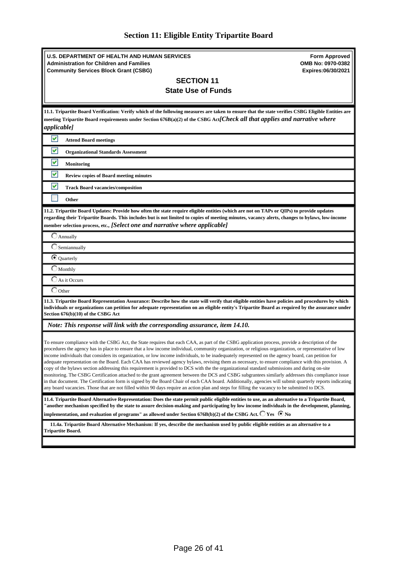<span id="page-25-0"></span>

| <b>U.S. DEPARTMENT OF HEALTH AND HUMAN SERVICES</b><br><b>Administration for Children and Families</b><br><b>Community Services Block Grant (CSBG)</b><br><b>SECTION 11</b><br><b>State Use of Funds</b>                                                                                                                                                                                                                                                                                                                                                                                                                                                                                                                                                                                                                                                                                                                                                                                                                                                                                                                                                                                                                                   | <b>Form Approved</b><br>OMB No: 0970-0382<br>Expires:06/30/2021 |
|--------------------------------------------------------------------------------------------------------------------------------------------------------------------------------------------------------------------------------------------------------------------------------------------------------------------------------------------------------------------------------------------------------------------------------------------------------------------------------------------------------------------------------------------------------------------------------------------------------------------------------------------------------------------------------------------------------------------------------------------------------------------------------------------------------------------------------------------------------------------------------------------------------------------------------------------------------------------------------------------------------------------------------------------------------------------------------------------------------------------------------------------------------------------------------------------------------------------------------------------|-----------------------------------------------------------------|
| 11.1. Tripartite Board Verification: Verify which of the following measures are taken to ensure that the state verifies CSBG Eligible Entities are<br>meeting Tripartite Board requirements under Section 676B(a)(2) of the CSBG Act[Check all that applies and narrative where<br><i>applicable]</i>                                                                                                                                                                                                                                                                                                                                                                                                                                                                                                                                                                                                                                                                                                                                                                                                                                                                                                                                      |                                                                 |
| v<br><b>Attend Board meetings</b>                                                                                                                                                                                                                                                                                                                                                                                                                                                                                                                                                                                                                                                                                                                                                                                                                                                                                                                                                                                                                                                                                                                                                                                                          |                                                                 |
| M<br><b>Organizational Standards Assessment</b>                                                                                                                                                                                                                                                                                                                                                                                                                                                                                                                                                                                                                                                                                                                                                                                                                                                                                                                                                                                                                                                                                                                                                                                            |                                                                 |
| V<br>Monitoring                                                                                                                                                                                                                                                                                                                                                                                                                                                                                                                                                                                                                                                                                                                                                                                                                                                                                                                                                                                                                                                                                                                                                                                                                            |                                                                 |
| M<br><b>Review copies of Board meeting minutes</b>                                                                                                                                                                                                                                                                                                                                                                                                                                                                                                                                                                                                                                                                                                                                                                                                                                                                                                                                                                                                                                                                                                                                                                                         |                                                                 |
| M<br><b>Track Board vacancies/composition</b>                                                                                                                                                                                                                                                                                                                                                                                                                                                                                                                                                                                                                                                                                                                                                                                                                                                                                                                                                                                                                                                                                                                                                                                              |                                                                 |
| Other                                                                                                                                                                                                                                                                                                                                                                                                                                                                                                                                                                                                                                                                                                                                                                                                                                                                                                                                                                                                                                                                                                                                                                                                                                      |                                                                 |
| 11.2. Tripartite Board Updates: Provide how often the state require eligible entities (which are not on TAPs or QIPs) to provide updates<br>regarding their Tripartite Boards. This includes but is not limited to copies of meeting minutes, vacancy alerts, changes to bylaws, low-income<br>member selection process, etc., [Select one and narrative where applicable]                                                                                                                                                                                                                                                                                                                                                                                                                                                                                                                                                                                                                                                                                                                                                                                                                                                                 |                                                                 |
| $\bigcirc$ Annually                                                                                                                                                                                                                                                                                                                                                                                                                                                                                                                                                                                                                                                                                                                                                                                                                                                                                                                                                                                                                                                                                                                                                                                                                        |                                                                 |
| $\bigcirc$ Semiannually                                                                                                                                                                                                                                                                                                                                                                                                                                                                                                                                                                                                                                                                                                                                                                                                                                                                                                                                                                                                                                                                                                                                                                                                                    |                                                                 |
| <b><i>Quarterly</i></b>                                                                                                                                                                                                                                                                                                                                                                                                                                                                                                                                                                                                                                                                                                                                                                                                                                                                                                                                                                                                                                                                                                                                                                                                                    |                                                                 |
| $\Box$ Monthly                                                                                                                                                                                                                                                                                                                                                                                                                                                                                                                                                                                                                                                                                                                                                                                                                                                                                                                                                                                                                                                                                                                                                                                                                             |                                                                 |
| $\Box$ As it Occurs                                                                                                                                                                                                                                                                                                                                                                                                                                                                                                                                                                                                                                                                                                                                                                                                                                                                                                                                                                                                                                                                                                                                                                                                                        |                                                                 |
| $\bigcirc$ Other<br>11.3. Tripartite Board Representation Assurance: Describe how the state will verify that eligible entities have policies and procedures by which<br>individuals or organizations can petition for adequate representation on an eligible entity's Tripartite Board as required by the assurance under<br>Section 676(b)(10) of the CSBG Act                                                                                                                                                                                                                                                                                                                                                                                                                                                                                                                                                                                                                                                                                                                                                                                                                                                                            |                                                                 |
| Note: This response will link with the corresponding assurance, item 14.10.                                                                                                                                                                                                                                                                                                                                                                                                                                                                                                                                                                                                                                                                                                                                                                                                                                                                                                                                                                                                                                                                                                                                                                |                                                                 |
| To ensure compliance with the CSBG Act, the State requires that each CAA, as part of the CSBG application process, provide a description of the<br>procedures the agency has in place to ensure that a low income individual, community organization, or religious organization, or representative of low<br>income individuals that considers its organization, or low income individuals, to be inadequately represented on the agency board, can petition for<br>adequate representation on the Board. Each CAA has reviewed agency bylaws, revising them as necessary, to ensure compliance with this provision. A<br>copy of the bylaws section addressing this requirement is provided to DCS with the the organizational standard submissions and during on-site<br>monitoring. The CSBG Certification attached to the grant agreement between the DCS and CSBG subgrantees similarly addresses this compliance issue<br>in that document. The Certification form is signed by the Board Chair of each CAA board. Additionally, agencies will submit quarterly reports indicating<br>any board vacancies. Those that are not filled within 90 days require an action plan and steps for filling the vacancy to be submitted to DCS. |                                                                 |
| 11.4. Tripartite Board Alternative Representation: Does the state permit public eligible entities to use, as an alternative to a Tripartite Board,<br>"another mechanism specified by the state to assure decision-making and participating by low income individuals in the development, planning,<br>implementation, and evaluation of programs" as allowed under Section 676B(b)(2) of the CSBG Act. $\bigcirc$ Yes $\bigcirc$ No                                                                                                                                                                                                                                                                                                                                                                                                                                                                                                                                                                                                                                                                                                                                                                                                       |                                                                 |
|                                                                                                                                                                                                                                                                                                                                                                                                                                                                                                                                                                                                                                                                                                                                                                                                                                                                                                                                                                                                                                                                                                                                                                                                                                            |                                                                 |

 **11.4a. Tripartite Board Alternative Mechanism: If yes, describe the mechanism used by public eligible entities as an alternative to a Tripartite Board.**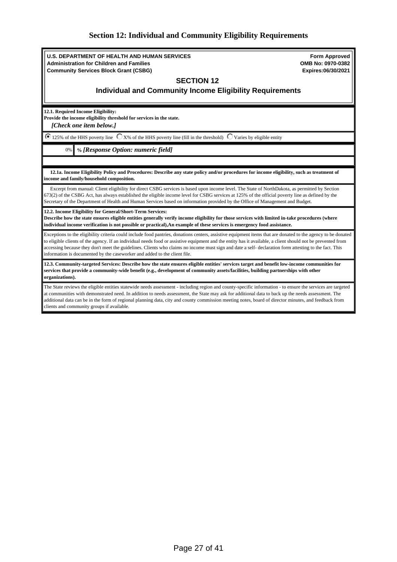# <span id="page-26-0"></span>**Section 12: Individual and Community Eligibility Requirements**

| <b>U.S. DEPARTMENT OF HEALTH AND HUMAN SERVICES</b><br><b>Administration for Children and Families</b>                                                                                                                                                                                                                                                                                                                                                                                                                                                               | <b>Form Approved</b><br>OMB No: 0970-0382 |  |
|----------------------------------------------------------------------------------------------------------------------------------------------------------------------------------------------------------------------------------------------------------------------------------------------------------------------------------------------------------------------------------------------------------------------------------------------------------------------------------------------------------------------------------------------------------------------|-------------------------------------------|--|
| <b>Community Services Block Grant (CSBG)</b>                                                                                                                                                                                                                                                                                                                                                                                                                                                                                                                         | Expires:06/30/2021                        |  |
| <b>SECTION 12</b>                                                                                                                                                                                                                                                                                                                                                                                                                                                                                                                                                    |                                           |  |
| <b>Individual and Community Income Eligibility Requirements</b>                                                                                                                                                                                                                                                                                                                                                                                                                                                                                                      |                                           |  |
| 12.1. Required Income Eligibility:<br>Provide the income eligibility threshold for services in the state.<br>[Check one item below.]                                                                                                                                                                                                                                                                                                                                                                                                                                 |                                           |  |
| $\bullet$ 125% of the HHS poverty line $\circ$ X% of the HHS poverty line (fill in the threshold) $\circ$ Varies by eligible entity                                                                                                                                                                                                                                                                                                                                                                                                                                  |                                           |  |
| % [Response Option: numeric field]<br>0%                                                                                                                                                                                                                                                                                                                                                                                                                                                                                                                             |                                           |  |
|                                                                                                                                                                                                                                                                                                                                                                                                                                                                                                                                                                      |                                           |  |
| 12.1a. Income Eligibility Policy and Procedures: Describe any state policy and/or procedures for income eligibility, such as treatment of<br>income and family/household composition.                                                                                                                                                                                                                                                                                                                                                                                |                                           |  |
| Excerpt from manual: Client eligibility for direct CSBG services is based upon income level. The State of NorthDakota, as permitted by Section<br>673(2) of the CSBG Act, has always established the eligible income level for CSBG services at 125% of the official poverty line as defined by the<br>Secretary of the Department of Health and Human Services based on information provided by the Office of Management and Budget.                                                                                                                                |                                           |  |
| 12.2. Income Eligibility for General/Short-Term Services:<br>Describe how the state ensures eligible entities generally verify income eligibility for those services with limited in-take procedures (where<br>individual income verification is not possible or practical), An example of these services is emergency food assistance.                                                                                                                                                                                                                              |                                           |  |
| Exceptions to the eligibility criteria could include food pantries, donations centers, assistive equipment items that are donated to the agency to be donated<br>to eligible clients of the agency. If an individual needs food or assistive equipment and the entity has it available, a client should not be prevented from<br>accessing because they don't meet the guidelines. Clients who claims no income must sign and date a self- declaration form attesting to the fact. This<br>information is documented by the caseworker and added to the client file. |                                           |  |
| 12.3. Community-targeted Services: Describe how the state ensures eligible entities' services target and benefit low-income communities for<br>services that provide a community-wide benefit (e.g., development of community assets/facilities, building partnerships with other<br>organizations).                                                                                                                                                                                                                                                                 |                                           |  |
| The State reviews the eligible entities statewide needs assessment - including region and county-specific information - to ensure the services are targeted<br>at communities with demonstrated need. In addition to needs assessment, the State may ask for additional data to back up the needs assessment. The<br>additional data can be in the form of regional planning data, city and county commission meeting notes, board of director minutes, and feedback from<br>clients and community groups if available.                                              |                                           |  |
|                                                                                                                                                                                                                                                                                                                                                                                                                                                                                                                                                                      |                                           |  |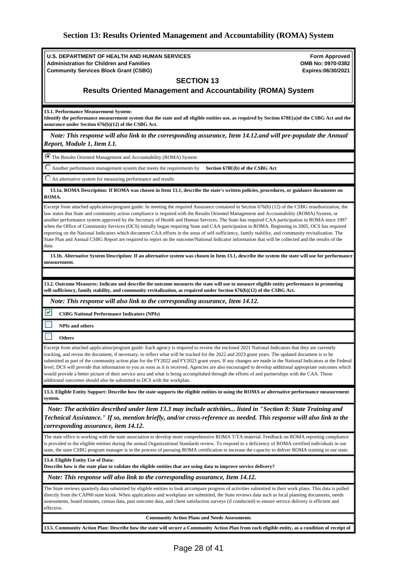# <span id="page-27-0"></span>**Section 13: Results Oriented Management and Accountability (ROMA) System**

| <b>U.S. DEPARTMENT OF HEALTH AND HUMAN SERVICES</b>                                                                                                                                                                                                                                                                                                                                                                                                                                                                                                                                                                                                                                                                                                                                                                                                                                                                               | <b>Form Approved</b>                    |  |  |
|-----------------------------------------------------------------------------------------------------------------------------------------------------------------------------------------------------------------------------------------------------------------------------------------------------------------------------------------------------------------------------------------------------------------------------------------------------------------------------------------------------------------------------------------------------------------------------------------------------------------------------------------------------------------------------------------------------------------------------------------------------------------------------------------------------------------------------------------------------------------------------------------------------------------------------------|-----------------------------------------|--|--|
| <b>Administration for Children and Families</b><br><b>Community Services Block Grant (CSBG)</b>                                                                                                                                                                                                                                                                                                                                                                                                                                                                                                                                                                                                                                                                                                                                                                                                                                   | OMB No: 0970-0382<br>Expires:06/30/2021 |  |  |
| <b>SECTION 13</b>                                                                                                                                                                                                                                                                                                                                                                                                                                                                                                                                                                                                                                                                                                                                                                                                                                                                                                                 |                                         |  |  |
| <b>Results Oriented Management and Accountability (ROMA) System</b>                                                                                                                                                                                                                                                                                                                                                                                                                                                                                                                                                                                                                                                                                                                                                                                                                                                               |                                         |  |  |
|                                                                                                                                                                                                                                                                                                                                                                                                                                                                                                                                                                                                                                                                                                                                                                                                                                                                                                                                   |                                         |  |  |
| 13.1. Performance Measurement System:<br>Identify the performance measurement system that the state and all eligible entities use, as required by Section 678E(a)of the CSBG Act and the<br>assurance under Section 676(b)(12) of the CSBG Act.                                                                                                                                                                                                                                                                                                                                                                                                                                                                                                                                                                                                                                                                                   |                                         |  |  |
| Note: This response will also link to the corresponding assurance, Item 14.12.and will pre-populate the Annual<br>Report, Module 1, Item I.1.                                                                                                                                                                                                                                                                                                                                                                                                                                                                                                                                                                                                                                                                                                                                                                                     |                                         |  |  |
| The Results Oriented Management and Accountability (ROMA) System                                                                                                                                                                                                                                                                                                                                                                                                                                                                                                                                                                                                                                                                                                                                                                                                                                                                  |                                         |  |  |
| Another performance management system that meets the requirements by<br>Section 678E(b) of the CSBG Act                                                                                                                                                                                                                                                                                                                                                                                                                                                                                                                                                                                                                                                                                                                                                                                                                           |                                         |  |  |
| An alternative system for measuring performance and results                                                                                                                                                                                                                                                                                                                                                                                                                                                                                                                                                                                                                                                                                                                                                                                                                                                                       |                                         |  |  |
| 13.1a. ROMA Description: If ROMA was chosen in Item 13.1, describe the state's written policies, procedures, or guidance documents on<br>ROMA.                                                                                                                                                                                                                                                                                                                                                                                                                                                                                                                                                                                                                                                                                                                                                                                    |                                         |  |  |
| Excerpt from attached application/program guide: In meeting the required Assurance contained in Section 676(b) (12) of the CSBG reauthorization, the<br>law states that State and community action compliance is required with the Results Oriented Management and Accountability (ROMA) System, or<br>another performance system approved by the Secretary of Health and Human Services. The State has required CAA participation in ROMA since 1997<br>when the Office of Community Services (OCS) initially began requiring State and CAA participation in ROMA. Beginning in 2005, OCS has required<br>reporting on the National Indicators which document CAA efforts in the areas of self-sufficiency, family stability, and community revitalization. The<br>State Plan and Annual CSBG Report are required to report on the outcome/National Indicator information that will be collected and the results of the<br>data. |                                         |  |  |
| 13.1b. Alternative System Description: If an alternative system was chosen in Item 13.1, describe the system the state will use for performance<br>measurement.                                                                                                                                                                                                                                                                                                                                                                                                                                                                                                                                                                                                                                                                                                                                                                   |                                         |  |  |
|                                                                                                                                                                                                                                                                                                                                                                                                                                                                                                                                                                                                                                                                                                                                                                                                                                                                                                                                   |                                         |  |  |
| 13.2. Outcome Measures: Indicate and describe the outcome measures the state will use to measure eligible entity performance in promoting<br>self-sufficiency, family stability, and community revitalization, as required under Section 676(b)(12) of the CSBG Act.                                                                                                                                                                                                                                                                                                                                                                                                                                                                                                                                                                                                                                                              |                                         |  |  |
| Note: This response will also link to the corresponding assurance, Item 14.12.                                                                                                                                                                                                                                                                                                                                                                                                                                                                                                                                                                                                                                                                                                                                                                                                                                                    |                                         |  |  |
| ⊽<br><b>CSBG National Performance Indicators (NPIs)</b>                                                                                                                                                                                                                                                                                                                                                                                                                                                                                                                                                                                                                                                                                                                                                                                                                                                                           |                                         |  |  |
| <b>NPIs and others</b>                                                                                                                                                                                                                                                                                                                                                                                                                                                                                                                                                                                                                                                                                                                                                                                                                                                                                                            |                                         |  |  |
| <b>Others</b>                                                                                                                                                                                                                                                                                                                                                                                                                                                                                                                                                                                                                                                                                                                                                                                                                                                                                                                     |                                         |  |  |
| Excerpt from attached application/program guide: Each agency is required to review the enclosed 2021 National Indicators that they are currently<br>tracking, and revise the document, if necessary, to reflect what will be tracked for the 2022 and 2023 grant years. The updated document is to be<br>submitted as part of the community action plan for the FY2022 and FY2023 grant years. If any changes are made in the National Indicators at the Federal<br>level, DCS will provide that information to you as soon as it is received. Agencies are also encouraged to develop additional appropriate outcomes which<br>would provide a better picture of their service area and what is being accomplished through the efforts of and partnerships with the CAA. Those<br>additional outcomes should also be submitted to DCS with the workplan.                                                                         |                                         |  |  |
| 13.3. Eligible Entity Support: Describe how the state supports the eligible entities in using the ROMA or alternative performance measurement<br>system.                                                                                                                                                                                                                                                                                                                                                                                                                                                                                                                                                                                                                                                                                                                                                                          |                                         |  |  |
| Note: The activities described under Item 13.3 may include activities listed in "Section 8: State Training and<br>Technical Assistance." If so, mention briefly, and/or cross-reference as needed. This response will also link to the<br>corresponding assurance, item 14.12.                                                                                                                                                                                                                                                                                                                                                                                                                                                                                                                                                                                                                                                    |                                         |  |  |
| The state office is working with the state association to develop more comprehensive ROMA T/TA material. Feedback on ROMA reporting compliance<br>is provided to the eligible entities during the annual Organizational Standards review. To respond to a deficiency of ROMA-certified individuals in our<br>state, the state CSBG program manager is in the process of pursuing ROMA certification to increase the capacity to deliver ROMA training in our state.                                                                                                                                                                                                                                                                                                                                                                                                                                                               |                                         |  |  |
| 13.4. Eligible Entity Use of Data:<br>Describe how is the state plan to validate the eligible entities that are using data to improve service delivery?                                                                                                                                                                                                                                                                                                                                                                                                                                                                                                                                                                                                                                                                                                                                                                           |                                         |  |  |
| Note: This response will also link to the corresponding assurance, Item 14.12.                                                                                                                                                                                                                                                                                                                                                                                                                                                                                                                                                                                                                                                                                                                                                                                                                                                    |                                         |  |  |
| The State reviews quarterly data submitted by eligible entities to look at/compare progress of activities submitted in their work plans. This data is pulled<br>directly from the CAP60 state kiosk. When applications and workplans are submitted, the State reviews data such as local planning documents, needs<br>assessments, board minutes, census data, past outcome data, and client satisfaction surveys (if conducted) to ensure service delivery is efficient and<br>effective.                                                                                                                                                                                                                                                                                                                                                                                                                                        |                                         |  |  |
| <b>Community Action Plans and Needs Assessments</b>                                                                                                                                                                                                                                                                                                                                                                                                                                                                                                                                                                                                                                                                                                                                                                                                                                                                               |                                         |  |  |
| 13.5. Community Action Plan: Describe how the state will secure a Community Action Plan from each eligible entity, as a condition of receipt of                                                                                                                                                                                                                                                                                                                                                                                                                                                                                                                                                                                                                                                                                                                                                                                   |                                         |  |  |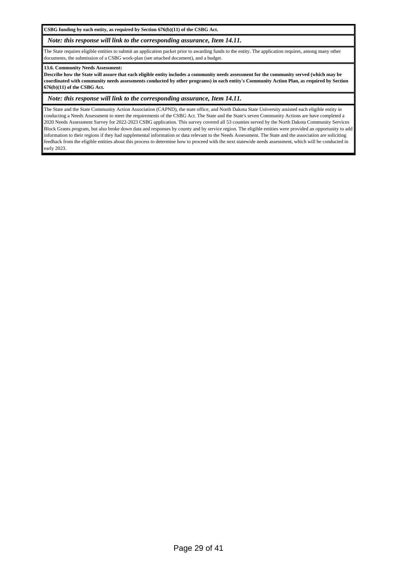**CSBG funding by each entity, as required by Section 676(b)(11) of the CSBG Act.**

### *Note: this response will link to the corresponding assurance, Item 14.11.*

The State requires eligible entities to submit an application packet prior to awarding funds to the entity. The application requires, among many other documents, the submission of a CSBG work-plan (see attached document), and a budget.

#### **13.6. Community Needs Assessment:**

**Describe how the State will assure that each eligible entity includes a community needs assessment for the community served (which may be coordinated with community needs assessments conducted by other programs) in each entity's Community Action Plan, as required by Section 676(b)(11) of the CSBG Act.**

#### *Note: this response will link to the corresponding assurance, Item 14.11.*

The State and the State Community Action Association (CAPND), the state office, and North Dakota State University assisted each eligible entity in conducting a Needs Assessment to meet the requirements of the CSBG Act. The State and the State's seven Community Actions are have completed a 2020 Needs Assessment Survey for 2022-2023 CSBG application. This survey covered all 53 counties served by the North Dakota Community Services Block Grants program, but also broke down data and responses by county and by service region. The eligible entities were provided an opportunity to add information to their regions if they had supplemental information or data relevant to the Needs Assessment. The State and the association are soliciting feedback from the eligible entities about this process to determine how to proceed with the next statewide needs assessment, which will be conducted in early 2023.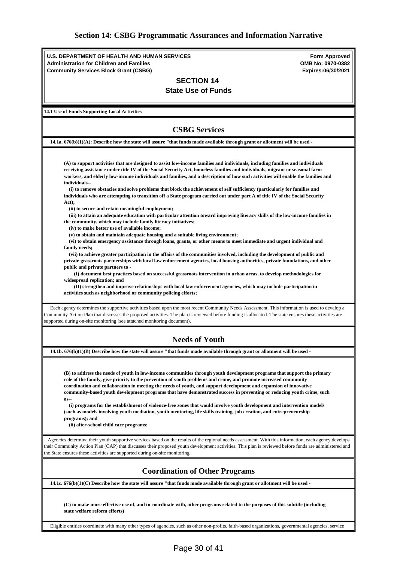<span id="page-29-0"></span>

| <b>U.S. DEPARTMENT OF HEALTH AND HUMAN SERVICES</b>                                                                                                                                                                                                                                                                                                                                                                                                                                       |                                           |  |
|-------------------------------------------------------------------------------------------------------------------------------------------------------------------------------------------------------------------------------------------------------------------------------------------------------------------------------------------------------------------------------------------------------------------------------------------------------------------------------------------|-------------------------------------------|--|
| <b>Administration for Children and Families</b>                                                                                                                                                                                                                                                                                                                                                                                                                                           | <b>Form Approved</b><br>OMB No: 0970-0382 |  |
| <b>Community Services Block Grant (CSBG)</b>                                                                                                                                                                                                                                                                                                                                                                                                                                              | Expires:06/30/2021                        |  |
| <b>SECTION 14</b>                                                                                                                                                                                                                                                                                                                                                                                                                                                                         |                                           |  |
| <b>State Use of Funds</b>                                                                                                                                                                                                                                                                                                                                                                                                                                                                 |                                           |  |
|                                                                                                                                                                                                                                                                                                                                                                                                                                                                                           |                                           |  |
| <b>14.1 Use of Funds Supporting Local Activities</b>                                                                                                                                                                                                                                                                                                                                                                                                                                      |                                           |  |
| <b>CSBG Services</b>                                                                                                                                                                                                                                                                                                                                                                                                                                                                      |                                           |  |
|                                                                                                                                                                                                                                                                                                                                                                                                                                                                                           |                                           |  |
| 14.1a. $676(b)(1)(A)$ : Describe how the state will assure "that funds made available through grant or allotment will be used -                                                                                                                                                                                                                                                                                                                                                           |                                           |  |
| (A) to support activities that are designed to assist low-income families and individuals, including families and individuals<br>receiving assistance under title IV of the Social Security Act, homeless families and individuals, migrant or seasonal farm<br>workers, and elderly low-income individuals and families, and a description of how such activities will enable the families and<br>individuals--                                                                          |                                           |  |
| (i) to remove obstacles and solve problems that block the achievement of self sufficiency (particularly for families and<br>individuals who are attempting to transition off a State program carried out under part A of title IV of the Social Security<br>Act);                                                                                                                                                                                                                         |                                           |  |
| (ii) to secure and retain meaningful employment;<br>(iii) to attain an adequate education with particular attention toward improving literacy skills of the low-income families in<br>the community, which may include family literacy initiatives;<br>(iv) to make better use of available income;<br>(v) to obtain and maintain adequate housing and a suitable living environment;                                                                                                     |                                           |  |
| (vi) to obtain emergency assistance through loans, grants, or other means to meet immediate and urgent individual and<br>family needs;<br>(vii) to achieve greater participation in the affairs of the communities involved, including the development of public and                                                                                                                                                                                                                      |                                           |  |
| private grassroots partnerships with local law enforcement agencies, local housing authorities, private foundations, and other<br>public and private partners to -<br>(I) document best practices based on successful grassroots intervention in urban areas, to develop methodologies for                                                                                                                                                                                                |                                           |  |
| widespread replication; and<br>(II) strengthen and improve relationships with local law enforcement agencies, which may include participation in<br>activities such as neighborhood or community policing efforts;                                                                                                                                                                                                                                                                        |                                           |  |
| Each agency determines the supportive activities based upon the most recent Community Needs Assessment. This information is used to develop a<br>Community Action Plan that discusses the proposed activities. The plan is reviewed before funding is allocated. The state ensures these activities are<br>supported during on-site monitoring (see attached monitoring document).                                                                                                        |                                           |  |
| <b>Needs of Youth</b>                                                                                                                                                                                                                                                                                                                                                                                                                                                                     |                                           |  |
| 14.1b. $676(b)(1)(B)$ Describe how the state will assure "that funds made available through grant or allotment will be used -                                                                                                                                                                                                                                                                                                                                                             |                                           |  |
|                                                                                                                                                                                                                                                                                                                                                                                                                                                                                           |                                           |  |
| (B) to address the needs of youth in low-income communities through youth development programs that support the primary<br>role of the family, give priority to the prevention of youth problems and crime, and promote increased community<br>coordination and collaboration in meeting the needs of youth, and support development and expansion of innovative<br>community-based youth development programs that have demonstrated success in preventing or reducing youth crime, such |                                           |  |
| $as-$<br>(i) programs for the establishment of violence-free zones that would involve youth development and intervention models<br>(such as models involving youth mediation, youth mentoring, life skills training, job creation, and entrepreneurship                                                                                                                                                                                                                                   |                                           |  |
| programs); and<br>(ii) after-school child care programs;                                                                                                                                                                                                                                                                                                                                                                                                                                  |                                           |  |
| Agencies determine their youth supportive services based on the results of the regional needs assessment. With this information, each agency develops<br>their Community Action Plan (CAP) that discusses their proposed youth development activities. This plan is reviewed before funds are administered and<br>the State ensures these activities are supported during on-site monitoring.                                                                                             |                                           |  |
| <b>Coordination of Other Programs</b>                                                                                                                                                                                                                                                                                                                                                                                                                                                     |                                           |  |
| 14.1c. $676(b)(1)(C)$ Describe how the state will assure "that funds made available through grant or allotment will be used -                                                                                                                                                                                                                                                                                                                                                             |                                           |  |
| (C) to make more effective use of, and to coordinate with, other programs related to the purposes of this subtitle (including<br>state welfare reform efforts)                                                                                                                                                                                                                                                                                                                            |                                           |  |

Eligible entities coordinate with many other types of agencies, such as other non-profits, faith-based organizations, governmental agencies, service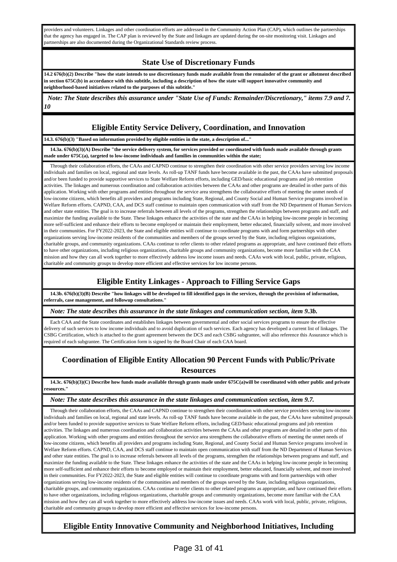providers and volunteers. Linkages and other coordination efforts are addressed in the Community Action Plan (CAP), which outlines the partnerships that the agency has engaged in. The CAP plan is reviewed by the State and linkages are updated during the on-site monitoring visit. Linkages and partnerships are also documented during the Organizational Standards review process.

## **State Use of Discretionary Funds**

**14.2 676(b)(2) Describe "how the state intends to use discretionary funds made available from the remainder of the grant or allotment described in section 675C(b) in accordance with this subtitle, including a description of how the state will support innovative community and neighborhood-based initiatives related to the purposes of this subtitle."**

 *Note: The State describes this assurance under "State Use of Funds: Remainder/Discretionary," items 7.9 and 7. 10*

## **Eligible Entity Service Delivery, Coordination, and Innovation**

#### **14.3. 676(b)(3) "Based on information provided by eligible entities in the state, a description of..."**

 **14.3a. 676(b)(3)(A) Describe "the service delivery system, for services provided or coordinated with funds made available through grants made under 675C(a), targeted to low-income individuals and families in communities within the state;**

 Through their collaboration efforts, the CAAs and CAPND continue to strengthen their coordination with other service providers serving low income individuals and families on local, regional and state levels. As roll-up TANF funds have become available in the past, the CAAs have submitted proposals and/or been funded to provide supportive services to State Welfare Reform efforts, including GED/basic educational programs and job retention activities. The linkages and numerous coordination and collaboration activities between the CAAs and other programs are detailed in other parts of this application. Working with other programs and entities throughout the service area strengthens the collaborative efforts of meeting the unmet needs of low-income citizens, which benefits all providers and programs including State, Regional, and County Social and Human Service programs involved in Welfare Reform efforts. CAPND, CAA, and DCS staff continue to maintain open communication with staff from the ND Department of Human Services and other state entities. The goal is to increase referrals between all levels of the programs, strengthen the relationships between programs and staff, and maximize the funding available to the State. These linkages enhance the activities of the state and the CAAs in helping low-income people in becoming more self-sufficient and enhance their efforts to become employed or maintain their employment, better educated, financially solvent, and more involved in their communities. For FY2022-2023, the State and eligible entities will continue to coordinate programs with and form partnerships with other organizations serving low-income residents of the communities and members of the groups served by the State, including religious organizations, charitable groups, and community organizations. CAAs continue to refer clients to other related programs as appropriate, and have continued their efforts to have other organizations, including religious organizations, charitable groups and community organizations, become more familiar with the CAA mission and how they can all work together to more effectively address low income issues and needs. CAAs work with local, public, private, religious, charitable and community groups to develop more efficient and effective services for low income persons.

# **Eligible Entity Linkages - Approach to Filling Service Gaps**

 **14.3b. 676(b)(3)(B) Describe "how linkages will be developed to fill identified gaps in the services, through the provision of information, referrals, case management, and followup consultations."**

*Note: The state describes this assurance in the state linkages and communication section, item 9.3b.*

 Each CAA and the State coordinates and establishes linkages between governmental and other social services programs to ensure the effective delivery of such services to low income individuals and to avoid duplication of such services. Each agency has developed a current list of linkages. The CSBG Certification, which is attached to the grant agreement between the DCS and each CSBG subgrantee, will also reference this Assurance which is required of each subgrantee. The Certification form is signed by the Board Chair of each CAA board.

# **Coordination of Eligible Entity Allocation 90 Percent Funds with Public/Private Resources**

 **14.3c. 676(b)(3)(C) Describe how funds made available through grants made under 675C(a)will be coordinated with other public and private resources."**

### *Note: The state describes this assurance in the state linkages and communication section, item 9.7.*

 Through their collaboration efforts, the CAAs and CAPND continue to strengthen their coordination with other service providers serving low-income individuals and families on local, regional and state levels. As roll-up TANF funds have become available in the past, the CAAs have submitted proposals and/or been funded to provide supportive services to State Welfare Reform efforts, including GED/basic educational programs and job retention activities. The linkages and numerous coordination and collaboration activities between the CAAs and other programs are detailed in other parts of this application. Working with other programs and entities throughout the service area strengthens the collaborative efforts of meeting the unmet needs of low-income citizens, which benefits all providers and programs including State, Regional, and County Social and Human Service programs involved in Welfare Reform efforts. CAPND, CAA, and DCS staff continue to maintain open communication with staff from the ND Department of Human Services and other state entities. The goal is to increase referrals between all levels of the programs, strengthen the relationships between programs and staff, and maximize the funding available to the State. These linkages enhance the activities of the state and the CAAs in helping low-income people in becoming more self-sufficient and enhance their efforts to become employed or maintain their employment, better educated, financially solvent, and more involved in their communities. For FY2022-2023, the State and eligible entities will continue to coordinate programs with and form partnerships with other organizations serving low-income residents of the communities and members of the groups served by the State, including religious organizations, charitable groups, and community organizations. CAAs continue to refer clients to other related programs as appropriate, and have continued their efforts to have other organizations, including religious organizations, charitable groups and community organizations, become more familiar with the CAA mission and how they can all work together to more effectively address low-income issues and needs. CAAs work with local, public, private, religious, charitable and community groups to develop more efficient and effective services for low-income persons.

# **Eligible Entity Innovative Community and Neighborhood Initiatives, Including**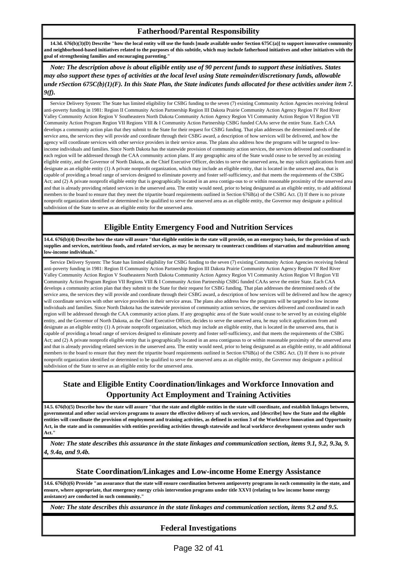### **Fatherhood/Parental Responsibility**

 **14.3d. 676(b)(3)(D) Describe "how the local entity will use the funds [made available under Section 675C(a)] to support innovative community and neighborhood-based initiatives related to the purposes of this subtitle, which may include fatherhood initiatives and other initiatives with the goal of strengthening families and encouraging parenting."**

 *Note: The description above is about eligible entity use of 90 percent funds to support these initiatives. States may also support these types of activities at the local level using State remainder/discretionary funds, allowable unde rSection 675C(b)(1)(F). In this State Plan, the State indicates funds allocated for these activities under item 7. 9(f).*

 Service Delivery System: The State has limited eligibility for CSBG funding to the seven (7) existing Community Action Agencies receiving federal anti-poverty funding in 1981: Region II Community Action Partnership Region III Dakota Prairie Community Action Agency Region IV Red River Valley Community Action Region V Southeastern North Dakota Community Action Agency Region VI Community Action Region VI Region VII Community Action Program Region VII Regions VIII & I Community Action Partnership CSBG funded CAAs serve the entire State. Each CAA develops a community action plan that they submit to the State for their request for CSBG funding. That plan addresses the determined needs of the service area, the services they will provide and coordinate through their CSBG award, a description of how services will be delivered, and how the agency will coordinate services with other service providers in their service areas. The plans also address how the programs will be targeted to lowincome individuals and families. Since North Dakota has the statewide provision of community action services, the services delivered and coordinated in each region will be addressed through the CAA community action plans. If any geographic area of the State would cease to be served by an existing eligible entity, and the Governor of North Dakota, as the Chief Executive Officer, decides to serve the unserved area, he may solicit applications from and designate as an eligible entity (1) A private nonprofit organization, which may include an eligible entity, that is located in the unserved area, that is capable of providing a broad range of services designed to eliminate poverty and foster self-sufficiency, and that meets the requirements of the CSBG Act; and (2) A private nonprofit eligible entity that is geographically located in an area contigu-ous to or within reasonable proximity of the unserved area and that is already providing related services in the unserved area. The entity would need, prior to being designated as an eligible entity, to add additional members to the board to ensure that they meet the tripartite board requirements outlined in Section 676B(a) of the CSBG Act. (3) If there is no private nonprofit organization identified or determined to be qualified to serve the unserved area as an eligible entity, the Governor may designate a political subdivision of the State to serve as an eligible entity for the unserved area.

# **Eligible Entity Emergency Food and Nutrition Services**

**14.4. 676(b)(4) Describe how the state will assure "that eligible entities in the state will provide, on an emergency basis, for the provision of such supplies and services, nutritious foods, and related services, as may be necessary to counteract conditions of starvation and malnutrition among low-income individuals."**

 Service Delivery System: The State has limited eligibility for CSBG funding to the seven (7) existing Community Action Agencies receiving federal anti-poverty funding in 1981: Region II Community Action Partnership Region III Dakota Prairie Community Action Agency Region IV Red River Valley Community Action Region V Southeastern North Dakota Community Action Agency Region VI Community Action Region VI Region VII Community Action Program Region VII Regions VIII & I Community Action Partnership CSBG funded CAAs serve the entire State. Each CAA develops a community action plan that they submit to the State for their request for CSBG funding. That plan addresses the determined needs of the service area, the services they will provide and coordinate through their CSBG award, a description of how services will be delivered and how the agency will coordinate services with other service providers in their service areas. The plans also address how the programs will be targeted to low income individuals and families. Since North Dakota has the statewide provision of community action services, the services delivered and coordinated in each region will be addressed through the CAA community action plans. If any geographic area of the State would cease to be served by an existing eligible entity, and the Governor of North Dakota, as the Chief Executive Officer, decides to serve the unserved area, he may solicit applications from and designate as an eligible entity (1) A private nonprofit organization, which may include an eligible entity, that is located in the unserved area, that is capable of providing a broad range of services designed to eliminate poverty and foster self-sufficiency, and that meets the requirements of the CSBG Act; and (2) A private nonprofit eligible entity that is geographically located in an area contiguous to or within reasonable proximity of the unserved area and that is already providing related services in the unserved area. The entity would need, prior to being designated as an eligible entity, to add additional members to the board to ensure that they meet the tripartite board requirements outlined in Section 676B(a) of the CSBG Act. (3) If there is no private nonprofit organization identified or determined to be qualified to serve the unserved area as an eligible entity, the Governor may designate a political subdivision of the State to serve as an eligible entity for the unserved area.

# **State and Eligible Entity Coordination/linkages and Workforce Innovation and Opportunity Act Employment and Training Activities**

**14.5. 676(b)(5) Describe how the state will assure "that the state and eligible entities in the state will coordinate, and establish linkages between, governmental and other social services programs to assure the effective delivery of such services, and [describe] how the State and the eligible entities will coordinate the provision of employment and training activities, as defined in section 3 of the Workforce Innovation and Opportunity Act, in the state and in communities with entities providing activities through statewide and local workforce development systems under such Act."**

 *Note: The state describes this assurance in the state linkages and communication section, items 9.1, 9.2, 9.3a, 9. 4, 9.4a, and 9.4b.*

## **State Coordination/Linkages and Low-income Home Energy Assistance**

**14.6. 676(b)(6) Provide "an assurance that the state will ensure coordination between antipoverty programs in each community in the state, and ensure, where appropriate, that emergency energy crisis intervention programs under title XXVI (relating to low income home energy assistance) are conducted in such community."**

*Note: The state describes this assurance in the state linkages and communication section, items 9.2 and 9.5.*

### **Federal Investigations**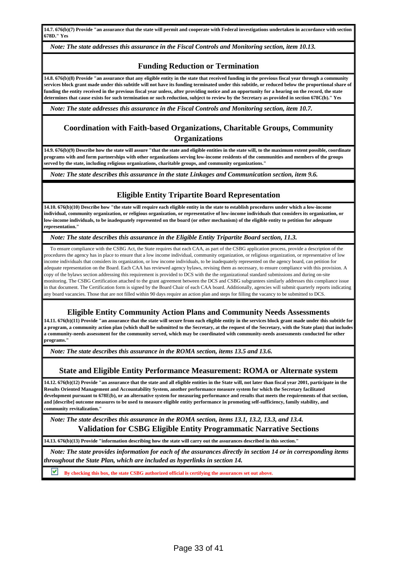**14.7. 676(b)(7) Provide "an assurance that the state will permit and cooperate with Federal investigations undertaken in accordance with section 678D." Yes**

*Note: The state addresses this assurance in the Fiscal Controls and Monitoring section, item 10.13.*

### **Funding Reduction or Termination**

**14.8. 676(b)(8) Provide "an assurance that any eligible entity in the state that received funding in the previous fiscal year through a community services block grant made under this subtitle will not have its funding terminated under this subtitle, or reduced below the proportional share of funding the entity received in the previous fiscal year unless, after providing notice and an opportunity for a hearing on the record, the state determines that cause exists for such termination or such reduction, subject to review by the Secretary as provided in section 678C(b)." Yes**

*Note: The state addresses this assurance in the Fiscal Controls and Monitoring section, item 10.7.*

## **Coordination with Faith-based Organizations, Charitable Groups, Community Organizations**

**14.9. 676(b)(9) Describe how the state will assure "that the state and eligible entities in the state will, to the maximum extent possible, coordinate programs with and form partnerships with other organizations serving low-income residents of the communities and members of the groups served by the state, including religious organizations, charitable groups, and community organizations."**

*Note: The state describes this assurance in the state Linkages and Communication section, item 9.6.*

### **Eligible Entity Tripartite Board Representation**

**14.10. 676(b)(10) Describe how "the state will require each eligible entity in the state to establish procedures under which a low-income individual, community organization, or religious organization, or representative of low-income individuals that considers its organization, or low-income individuals, to be inadequately represented on the board (or other mechanism) of the eligible entity to petition for adequate representation."**

*Note: The state describes this assurance in the Eligible Entity Tripartite Board section, 11.3.*

 To ensure compliance with the CSBG Act, the State requires that each CAA, as part of the CSBG application process, provide a description of the procedures the agency has in place to ensure that a low income individual, community organization, or religious organization, or representative of low income individuals that considers its organization, or low income individuals, to be inadequately represented on the agency board, can petition for adequate representation on the Board. Each CAA has reviewed agency bylaws, revising them as necessary, to ensure compliance with this provision. A copy of the bylaws section addressing this requirement is provided to DCS with the the organizational standard submissions and during on-site monitoring. The CSBG Certification attached to the grant agreement between the DCS and CSBG subgrantees similarly addresses this compliance issue in that document. The Certification form is signed by the Board Chair of each CAA board. Additionally, agencies will submit quarterly reports indicating any board vacancies. Those that are not filled within 90 days require an action plan and steps for filling the vacancy to be submitted to DCS.

### **Eligible Entity Community Action Plans and Community Needs Assessments**

**14.11. 676(b)(11) Provide "an assurance that the state will secure from each eligible entity in the services block grant made under this subtitle for a program, a community action plan (which shall be submitted to the Secretary, at the request of the Secretary, with the State plan) that includes a community-needs assessment for the community served, which may be coordinated with community-needs assessments conducted for other programs."**

*Note: The state describes this assurance in the ROMA section, items 13.5 and 13.6.*

### **State and Eligible Entity Performance Measurement: ROMA or Alternate system**

**14.12. 676(b)(12) Provide "an assurance that the state and all eligible entities in the State will, not later than fiscal year 2001, participate in the Results Oriented Management and Accountability System, another performance measure system for which the Secretary facilitated development pursuant to 678E(b), or an alternative system for measuring performance and results that meets the requirements of that section, and [describe] outcome measures to be used to measure eligible entity performance in promoting self-sufficiency, family stability, and community revitalization."**

 *Note: The state describes this assurance in the ROMA section, items 13.1, 13.2, 13.3, and 13.4.* **Validation for CSBG Eligible Entity Programmatic Narrative Sections**

**14.13. 676(b)(13) Provide "information describing how the state will carry out the assurances described in this section."**

 *Note: The state provides information for each of the assurances directly in section 14 or in corresponding items throughout the State Plan, which are included as hyperlinks in section 14.*

**By checking this box, the state CSBG authorized official is certifying the assurances set out above.**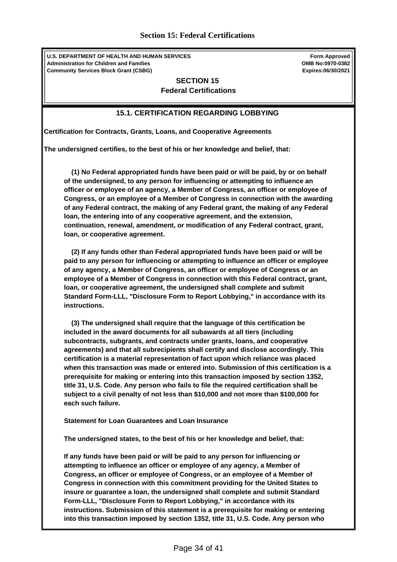**U.S. DEPARTMENT OF HEALTH AND HUMAN SERVICES Administration for Children and Families Community Services Block Grant (CSBG)**

**Form Approved OMB No:0970-0382 Expires:06/30/2021**

### <span id="page-33-0"></span>**SECTION 15 Federal Certifications**

## **15.1. CERTIFICATION REGARDING LOBBYING**

**Certification for Contracts, Grants, Loans, and Cooperative Agreements**

**The undersigned certifies, to the best of his or her knowledge and belief, that:**

 **(1) No Federal appropriated funds have been paid or will be paid, by or on behalf of the undersigned, to any person for influencing or attempting to influence an officer or employee of an agency, a Member of Congress, an officer or employee of Congress, or an employee of a Member of Congress in connection with the awarding of any Federal contract, the making of any Federal grant, the making of any Federal loan, the entering into of any cooperative agreement, and the extension, continuation, renewal, amendment, or modification of any Federal contract, grant, loan, or cooperative agreement.** 

 **(2) If any funds other than Federal appropriated funds have been paid or will be paid to any person for influencing or attempting to influence an officer or employee of any agency, a Member of Congress, an officer or employee of Congress or an employee of a Member of Congress in connection with this Federal contract, grant, loan, or cooperative agreement, the undersigned shall complete and submit Standard Form-LLL, "Disclosure Form to Report Lobbying," in accordance with its instructions.** 

 **(3) The undersigned shall require that the language of this certification be included in the award documents for all subawards at all tiers (including subcontracts, subgrants, and contracts under grants, loans, and cooperative agreements) and that all subrecipients shall certify and disclose accordingly. This certification is a material representation of fact upon which reliance was placed when this transaction was made or entered into. Submission of this certification is a prerequisite for making or entering into this transaction imposed by section 1352, title 31, U.S. Code. Any person who fails to file the required certification shall be subject to a civil penalty of not less than \$10,000 and not more than \$100,000 for each such failure.**

**Statement for Loan Guarantees and Loan Insurance**

**The undersigned states, to the best of his or her knowledge and belief, that:**

**If any funds have been paid or will be paid to any person for influencing or attempting to influence an officer or employee of any agency, a Member of Congress, an officer or employee of Congress, or an employee of a Member of Congress in connection with this commitment providing for the United States to insure or guarantee a loan, the undersigned shall complete and submit Standard Form-LLL, "Disclosure Form to Report Lobbying," in accordance with its instructions. Submission of this statement is a prerequisite for making or entering into this transaction imposed by section 1352, title 31, U.S. Code. Any person who**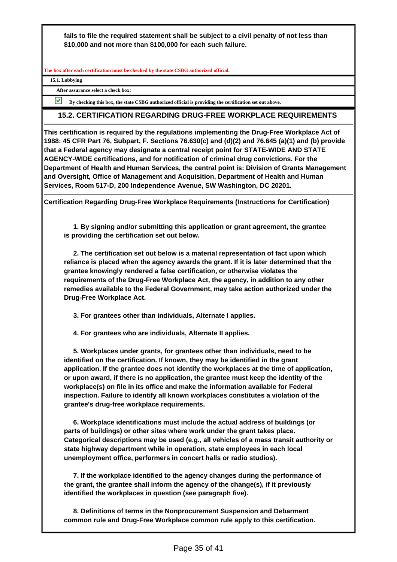**fails to file the required statement shall be subject to a civil penalty of not less than \$10,000 and not more than \$100,000 for each such failure.**

**The box after each certification must be checked by the state CSBG authorized official.**

**15.1. Lobbying** 

**After assurance select a check box:**

**By checking this box, the state CSBG authorized official is providing the certification set out above.**

### **15.2. CERTIFICATION REGARDING DRUG-FREE WORKPLACE REQUIREMENTS**

**This certification is required by the regulations implementing the Drug-Free Workplace Act of 1988: 45 CFR Part 76, Subpart, F. Sections 76.630(c) and (d)(2) and 76.645 (a)(1) and (b) provide that a Federal agency may designate a central receipt point for STATE-WIDE AND STATE AGENCY-WIDE certifications, and for notification of criminal drug convictions. For the Department of Health and Human Services, the central point is: Division of Grants Management and Oversight, Office of Management and Acquisition, Department of Health and Human Services, Room 517-D, 200 Independence Avenue, SW Washington, DC 20201.**

**Certification Regarding Drug-Free Workplace Requirements (Instructions for Certification)**

 **1. By signing and/or submitting this application or grant agreement, the grantee is providing the certification set out below.**

 **2. The certification set out below is a material representation of fact upon which reliance is placed when the agency awards the grant. If it is later determined that the grantee knowingly rendered a false certification, or otherwise violates the requirements of the Drug-Free Workplace Act, the agency, in addition to any other remedies available to the Federal Government, may take action authorized under the Drug-Free Workplace Act.**

 **3. For grantees other than individuals, Alternate I applies.**

 **4. For grantees who are individuals, Alternate II applies.**

 **5. Workplaces under grants, for grantees other than individuals, need to be identified on the certification. If known, they may be identified in the grant application. If the grantee does not identify the workplaces at the time of application, or upon award, if there is no application, the grantee must keep the identity of the workplace(s) on file in its office and make the information available for Federal inspection. Failure to identify all known workplaces constitutes a violation of the grantee's drug-free workplace requirements.**

 **6. Workplace identifications must include the actual address of buildings (or parts of buildings) or other sites where work under the grant takes place. Categorical descriptions may be used (e.g., all vehicles of a mass transit authority or state highway department while in operation, state employees in each local unemployment office, performers in concert halls or radio studios).**

 **7. If the workplace identified to the agency changes during the performance of the grant, the grantee shall inform the agency of the change(s), if it previously identified the workplaces in question (see paragraph five).**

 **8. Definitions of terms in the Nonprocurement Suspension and Debarment common rule and Drug-Free Workplace common rule apply to this certification.**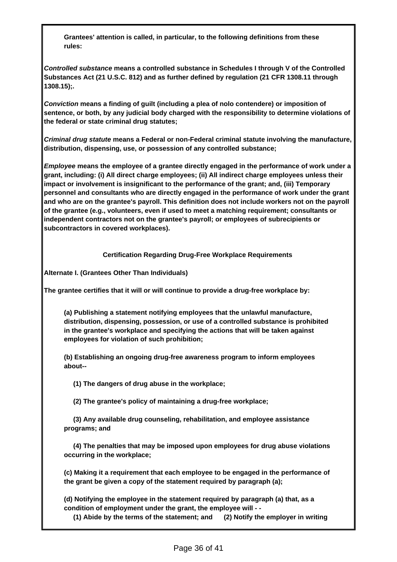**Grantees' attention is called, in particular, to the following definitions from these rules:**

**Controlled substance means a controlled substance in Schedules I through V of the Controlled Substances Act (21 U.S.C. 812) and as further defined by regulation (21 CFR 1308.11 through 1308.15);.**

**Conviction means a finding of guilt (including a plea of nolo contendere) or imposition of sentence, or both, by any judicial body charged with the responsibility to determine violations of the federal or state criminal drug statutes;**

**Criminal drug statute means a Federal or non-Federal criminal statute involving the manufacture, distribution, dispensing, use, or possession of any controlled substance;**

**Employee means the employee of a grantee directly engaged in the performance of work under a grant, including: (i) All direct charge employees; (ii) All indirect charge employees unless their impact or involvement is insignificant to the performance of the grant; and, (iii) Temporary personnel and consultants who are directly engaged in the performance of work under the grant and who are on the grantee's payroll. This definition does not include workers not on the payroll of the grantee (e.g., volunteers, even if used to meet a matching requirement; consultants or independent contractors not on the grantee's payroll; or employees of subrecipients or subcontractors in covered workplaces).**

**Certification Regarding Drug-Free Workplace Requirements**

**Alternate I. (Grantees Other Than Individuals)** 

**The grantee certifies that it will or will continue to provide a drug-free workplace by:**

**(a) Publishing a statement notifying employees that the unlawful manufacture, distribution, dispensing, possession, or use of a controlled substance is prohibited in the grantee's workplace and specifying the actions that will be taken against employees for violation of such prohibition;**

**(b) Establishing an ongoing drug-free awareness program to inform employees about--**

 **(1) The dangers of drug abuse in the workplace;**

 **(2) The grantee's policy of maintaining a drug-free workplace;**

 **(3) Any available drug counseling, rehabilitation, and employee assistance programs; and**

 **(4) The penalties that may be imposed upon employees for drug abuse violations occurring in the workplace;**

**(c) Making it a requirement that each employee to be engaged in the performance of the grant be given a copy of the statement required by paragraph (a);**

**(d) Notifying the employee in the statement required by paragraph (a) that, as a condition of employment under the grant, the employee will - -**

 **(1) Abide by the terms of the statement; and (2) Notify the employer in writing**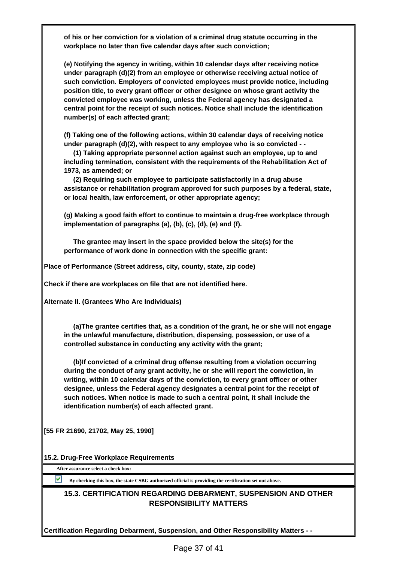**of his or her conviction for a violation of a criminal drug statute occurring in the workplace no later than five calendar days after such conviction;**

**(e) Notifying the agency in writing, within 10 calendar days after receiving notice under paragraph (d)(2) from an employee or otherwise receiving actual notice of such conviction. Employers of convicted employees must provide notice, including position title, to every grant officer or other designee on whose grant activity the convicted employee was working, unless the Federal agency has designated a central point for the receipt of such notices. Notice shall include the identification number(s) of each affected grant;**

**(f) Taking one of the following actions, within 30 calendar days of receiving notice under paragraph (d)(2), with respect to any employee who is so convicted - -**

 **(1) Taking appropriate personnel action against such an employee, up to and including termination, consistent with the requirements of the Rehabilitation Act of 1973, as amended; or**

 **(2) Requiring such employee to participate satisfactorily in a drug abuse assistance or rehabilitation program approved for such purposes by a federal, state, or local health, law enforcement, or other appropriate agency;**

**(g) Making a good faith effort to continue to maintain a drug-free workplace through implementation of paragraphs (a), (b), (c), (d), (e) and (f).**

 **The grantee may insert in the space provided below the site(s) for the performance of work done in connection with the specific grant:**

**Place of Performance (Street address, city, county, state, zip code)**

**Check if there are workplaces on file that are not identified here.**

**Alternate II. (Grantees Who Are Individuals)**

 **(a)The grantee certifies that, as a condition of the grant, he or she will not engage in the unlawful manufacture, distribution, dispensing, possession, or use of a controlled substance in conducting any activity with the grant;**

 **(b)If convicted of a criminal drug offense resulting from a violation occurring during the conduct of any grant activity, he or she will report the conviction, in writing, within 10 calendar days of the conviction, to every grant officer or other designee, unless the Federal agency designates a central point for the receipt of such notices. When notice is made to such a central point, it shall include the identification number(s) of each affected grant.**

**[55 FR 21690, 21702, May 25, 1990]**

**15.2. Drug-Free Workplace Requirements**

**After assurance select a check box:**

**By checking this box, the state CSBG authorized official is providing the certification set out above.**

## **15.3. CERTIFICATION REGARDING DEBARMENT, SUSPENSION AND OTHER RESPONSIBILITY MATTERS**

**Certification Regarding Debarment, Suspension, and Other Responsibility Matters - -**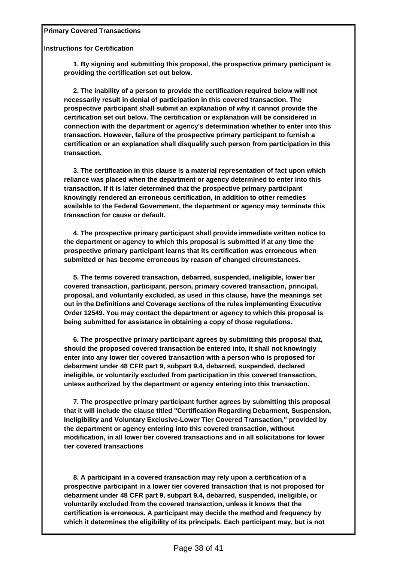**Primary Covered Transactions**

**Instructions for Certification**

 **1. By signing and submitting this proposal, the prospective primary participant is providing the certification set out below.**

 **2. The inability of a person to provide the certification required below will not necessarily result in denial of participation in this covered transaction. The prospective participant shall submit an explanation of why it cannot provide the certification set out below. The certification or explanation will be considered in connection with the department or agency's determination whether to enter into this transaction. However, failure of the prospective primary participant to furnish a certification or an explanation shall disqualify such person from participation in this transaction.**

 **3. The certification in this clause is a material representation of fact upon which reliance was placed when the department or agency determined to enter into this transaction. If it is later determined that the prospective primary participant knowingly rendered an erroneous certification, in addition to other remedies available to the Federal Government, the department or agency may terminate this transaction for cause or default.**

 **4. The prospective primary participant shall provide immediate written notice to the department or agency to which this proposal is submitted if at any time the prospective primary participant learns that its certification was erroneous when submitted or has become erroneous by reason of changed circumstances.**

 **5. The terms covered transaction, debarred, suspended, ineligible, lower tier covered transaction, participant, person, primary covered transaction, principal, proposal, and voluntarily excluded, as used in this clause, have the meanings set out in the Definitions and Coverage sections of the rules implementing Executive Order 12549. You may contact the department or agency to which this proposal is being submitted for assistance in obtaining a copy of those regulations.**

 **6. The prospective primary participant agrees by submitting this proposal that, should the proposed covered transaction be entered into, it shall not knowingly enter into any lower tier covered transaction with a person who is proposed for debarment under 48 CFR part 9, subpart 9.4, debarred, suspended, declared ineligible, or voluntarily excluded from participation in this covered transaction, unless authorized by the department or agency entering into this transaction.**

 **7. The prospective primary participant further agrees by submitting this proposal that it will include the clause titled "Certification Regarding Debarment, Suspension, Ineligibility and Voluntary Exclusive-Lower Tier Covered Transaction," provided by the department or agency entering into this covered transaction, without modification, in all lower tier covered transactions and in all solicitations for lower tier covered transactions**

 **8. A participant in a covered transaction may rely upon a certification of a prospective participant in a lower tier covered transaction that is not proposed for debarment under 48 CFR part 9, subpart 9.4, debarred, suspended, ineligible, or voluntarily excluded from the covered transaction, unless it knows that the certification is erroneous. A participant may decide the method and frequency by which it determines the eligibility of its principals. Each participant may, but is not**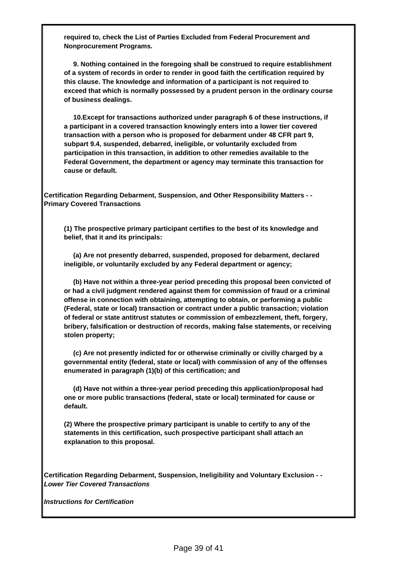**required to, check the List of Parties Excluded from Federal Procurement and Nonprocurement Programs.**

 **9. Nothing contained in the foregoing shall be construed to require establishment of a system of records in order to render in good faith the certification required by this clause. The knowledge and information of a participant is not required to exceed that which is normally possessed by a prudent person in the ordinary course of business dealings.**

 **10.Except for transactions authorized under paragraph 6 of these instructions, if a participant in a covered transaction knowingly enters into a lower tier covered transaction with a person who is proposed for debarment under 48 CFR part 9, subpart 9.4, suspended, debarred, ineligible, or voluntarily excluded from participation in this transaction, in addition to other remedies available to the Federal Government, the department or agency may terminate this transaction for cause or default.**

**Certification Regarding Debarment, Suspension, and Other Responsibility Matters - - Primary Covered Transactions** 

**(1) The prospective primary participant certifies to the best of its knowledge and belief, that it and its principals:**

 **(a) Are not presently debarred, suspended, proposed for debarment, declared ineligible, or voluntarily excluded by any Federal department or agency;**

 **(b) Have not within a three-year period preceding this proposal been convicted of or had a civil judgment rendered against them for commission of fraud or a criminal offense in connection with obtaining, attempting to obtain, or performing a public (Federal, state or local) transaction or contract under a public transaction; violation of federal or state antitrust statutes or commission of embezzlement, theft, forgery, bribery, falsification or destruction of records, making false statements, or receiving stolen property;**

 **(c) Are not presently indicted for or otherwise criminally or civilly charged by a governmental entity (federal, state or local) with commission of any of the offenses enumerated in paragraph (1)(b) of this certification; and**

 **(d) Have not within a three-year period preceding this application/proposal had one or more public transactions (federal, state or local) terminated for cause or default.**

**(2) Where the prospective primary participant is unable to certify to any of the statements in this certification, such prospective participant shall attach an explanation to this proposal.**

**Certification Regarding Debarment, Suspension, Ineligibility and Voluntary Exclusion - - Lower Tier Covered Transactions**

**Instructions for Certification**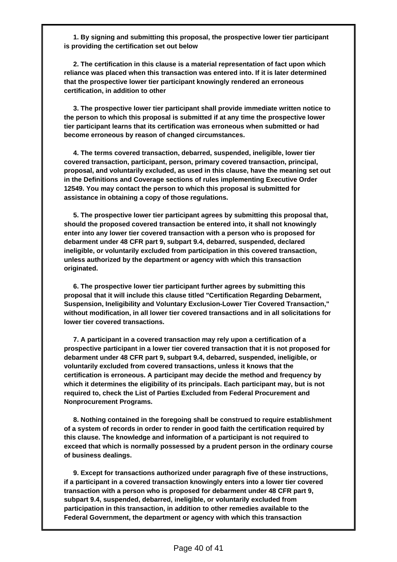**1. By signing and submitting this proposal, the prospective lower tier participant is providing the certification set out below**

 **2. The certification in this clause is a material representation of fact upon which reliance was placed when this transaction was entered into. If it is later determined that the prospective lower tier participant knowingly rendered an erroneous certification, in addition to other**

 **3. The prospective lower tier participant shall provide immediate written notice to the person to which this proposal is submitted if at any time the prospective lower tier participant learns that its certification was erroneous when submitted or had become erroneous by reason of changed circumstances.** 

 **4. The terms covered transaction, debarred, suspended, ineligible, lower tier covered transaction, participant, person, primary covered transaction, principal, proposal, and voluntarily excluded, as used in this clause, have the meaning set out in the Definitions and Coverage sections of rules implementing Executive Order 12549. You may contact the person to which this proposal is submitted for assistance in obtaining a copy of those regulations.**

 **5. The prospective lower tier participant agrees by submitting this proposal that, should the proposed covered transaction be entered into, it shall not knowingly enter into any lower tier covered transaction with a person who is proposed for debarment under 48 CFR part 9, subpart 9.4, debarred, suspended, declared ineligible, or voluntarily excluded from participation in this covered transaction, unless authorized by the department or agency with which this transaction originated.**

 **6. The prospective lower tier participant further agrees by submitting this proposal that it will include this clause titled "Certification Regarding Debarment, Suspension, Ineligibility and Voluntary Exclusion-Lower Tier Covered Transaction," without modification, in all lower tier covered transactions and in all solicitations for lower tier covered transactions.**

 **7. A participant in a covered transaction may rely upon a certification of a prospective participant in a lower tier covered transaction that it is not proposed for debarment under 48 CFR part 9, subpart 9.4, debarred, suspended, ineligible, or voluntarily excluded from covered transactions, unless it knows that the certification is erroneous. A participant may decide the method and frequency by which it determines the eligibility of its principals. Each participant may, but is not required to, check the List of Parties Excluded from Federal Procurement and Nonprocurement Programs.**

 **8. Nothing contained in the foregoing shall be construed to require establishment of a system of records in order to render in good faith the certification required by this clause. The knowledge and information of a participant is not required to exceed that which is normally possessed by a prudent person in the ordinary course of business dealings.** 

 **9. Except for transactions authorized under paragraph five of these instructions, if a participant in a covered transaction knowingly enters into a lower tier covered transaction with a person who is proposed for debarment under 48 CFR part 9, subpart 9.4, suspended, debarred, ineligible, or voluntarily excluded from participation in this transaction, in addition to other remedies available to the Federal Government, the department or agency with which this transaction**